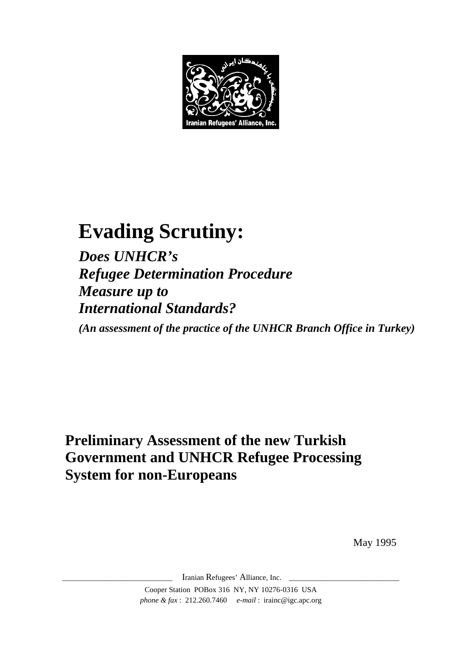

# **Evading Scrutiny:**

*Does UNHCR's Refugee Determination Procedure Measure up to International Standards?* 

*(An assessment of the practice of the UNHCR Branch Office in Turkey)* 

# **Preliminary Assessment of the new Turkish Government and UNHCR Refugee Processing System for non-Europeans**

May 1995

Iranian Refugees' Alliance, Inc. Cooper Station POBox 316 NY, NY 10276-0316 USA *phone & fax* : 212.260.7460 *e-mail* : irainc@igc.apc.org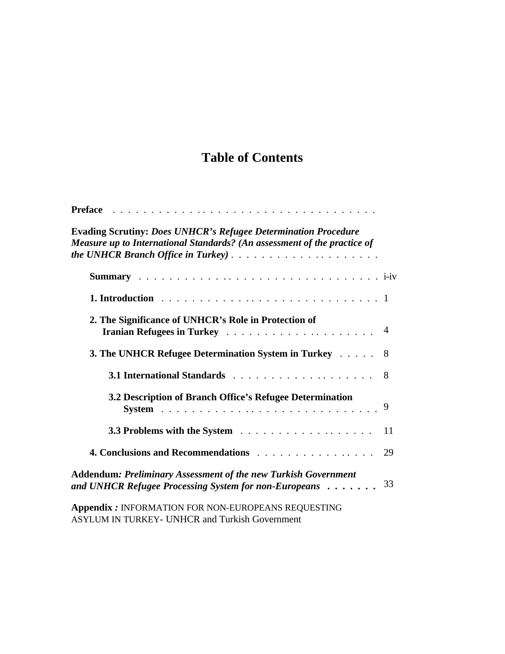# **Table of Contents**

| <b>Preface</b><br>the contract of the contract of the contract of the contract of the contract of                                                 |    |
|---------------------------------------------------------------------------------------------------------------------------------------------------|----|
| <b>Evading Scrutiny: Does UNHCR's Refugee Determination Procedure</b><br>Measure up to International Standards? (An assessment of the practice of |    |
|                                                                                                                                                   |    |
|                                                                                                                                                   |    |
| 2. The Significance of UNHCR's Role in Protection of                                                                                              |    |
| 3. The UNHCR Refugee Determination System in Turkey 8                                                                                             |    |
|                                                                                                                                                   |    |
| 3.2 Description of Branch Office's Refugee Determination                                                                                          |    |
|                                                                                                                                                   | 11 |
| 4. Conclusions and Recommendations                                                                                                                | 29 |
| <b>Addendum: Preliminary Assessment of the new Turkish Government</b><br>and UNHCR Refugee Processing System for non-Europeans                    | 33 |
| <b>Appendix: INFORMATION FOR NON-EUROPEANS REQUESTING</b>                                                                                         |    |

ASYLUM IN TURKEY*-* UNHCR and Turkish Government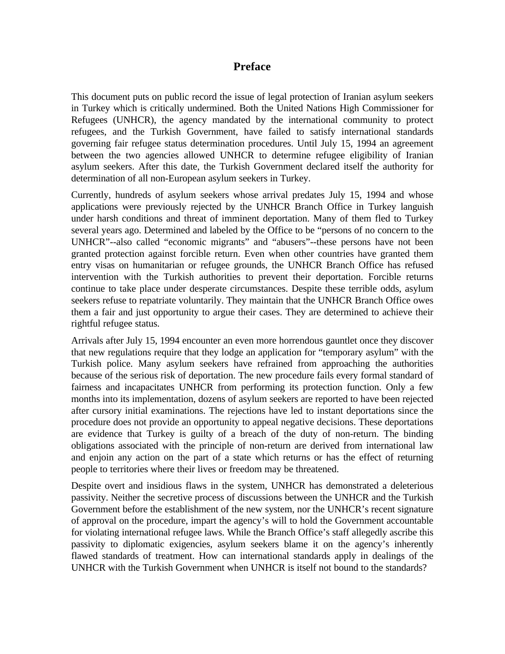### **Preface**

This document puts on public record the issue of legal protection of Iranian asylum seekers in Turkey which is critically undermined. Both the United Nations High Commissioner for Refugees (UNHCR), the agency mandated by the international community to protect refugees, and the Turkish Government, have failed to satisfy international standards governing fair refugee status determination procedures. Until July 15, 1994 an agreement between the two agencies allowed UNHCR to determine refugee eligibility of Iranian asylum seekers. After this date, the Turkish Government declared itself the authority for determination of all non-European asylum seekers in Turkey.

Currently, hundreds of asylum seekers whose arrival predates July 15, 1994 and whose applications were previously rejected by the UNHCR Branch Office in Turkey languish under harsh conditions and threat of imminent deportation. Many of them fled to Turkey several years ago. Determined and labeled by the Office to be "persons of no concern to the UNHCR"--also called "economic migrants" and "abusers"--these persons have not been granted protection against forcible return. Even when other countries have granted them entry visas on humanitarian or refugee grounds, the UNHCR Branch Office has refused intervention with the Turkish authorities to prevent their deportation. Forcible returns continue to take place under desperate circumstances. Despite these terrible odds, asylum seekers refuse to repatriate voluntarily. They maintain that the UNHCR Branch Office owes them a fair and just opportunity to argue their cases. They are determined to achieve their rightful refugee status.

Arrivals after July 15, 1994 encounter an even more horrendous gauntlet once they discover that new regulations require that they lodge an application for "temporary asylum" with the Turkish police. Many asylum seekers have refrained from approaching the authorities because of the serious risk of deportation. The new procedure fails every formal standard of fairness and incapacitates UNHCR from performing its protection function. Only a few months into its implementation, dozens of asylum seekers are reported to have been rejected after cursory initial examinations. The rejections have led to instant deportations since the procedure does not provide an opportunity to appeal negative decisions. These deportations are evidence that Turkey is guilty of a breach of the duty of non-return. The binding obligations associated with the principle of non-return are derived from international law and enjoin any action on the part of a state which returns or has the effect of returning people to territories where their lives or freedom may be threatened.

Despite overt and insidious flaws in the system, UNHCR has demonstrated a deleterious passivity. Neither the secretive process of discussions between the UNHCR and the Turkish Government before the establishment of the new system, nor the UNHCR's recent signature of approval on the procedure, impart the agency's will to hold the Government accountable for violating international refugee laws. While the Branch Office's staff allegedly ascribe this passivity to diplomatic exigencies, asylum seekers blame it on the agency's inherently flawed standards of treatment. How can international standards apply in dealings of the UNHCR with the Turkish Government when UNHCR is itself not bound to the standards?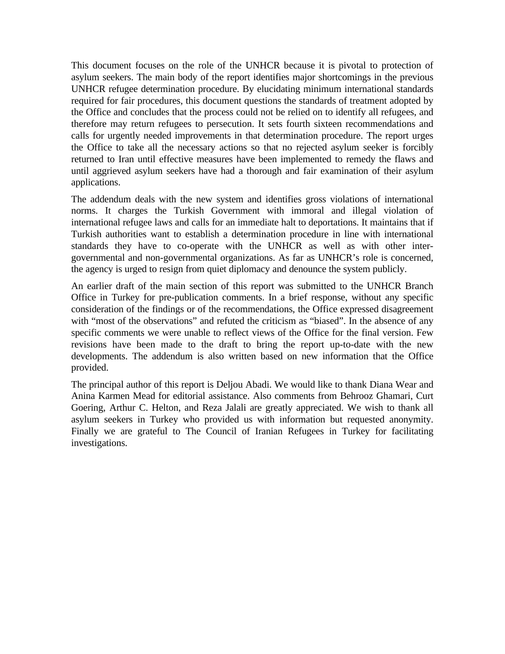This document focuses on the role of the UNHCR because it is pivotal to protection of asylum seekers. The main body of the report identifies major shortcomings in the previous UNHCR refugee determination procedure. By elucidating minimum international standards required for fair procedures, this document questions the standards of treatment adopted by the Office and concludes that the process could not be relied on to identify all refugees, and therefore may return refugees to persecution. It sets fourth sixteen recommendations and calls for urgently needed improvements in that determination procedure. The report urges the Office to take all the necessary actions so that no rejected asylum seeker is forcibly returned to Iran until effective measures have been implemented to remedy the flaws and until aggrieved asylum seekers have had a thorough and fair examination of their asylum applications.

The addendum deals with the new system and identifies gross violations of international norms. It charges the Turkish Government with immoral and illegal violation of international refugee laws and calls for an immediate halt to deportations. It maintains that if Turkish authorities want to establish a determination procedure in line with international standards they have to co-operate with the UNHCR as well as with other intergovernmental and non-governmental organizations. As far as UNHCR's role is concerned, the agency is urged to resign from quiet diplomacy and denounce the system publicly.

An earlier draft of the main section of this report was submitted to the UNHCR Branch Office in Turkey for pre-publication comments. In a brief response, without any specific consideration of the findings or of the recommendations, the Office expressed disagreement with "most of the observations" and refuted the criticism as "biased". In the absence of any specific comments we were unable to reflect views of the Office for the final version. Few revisions have been made to the draft to bring the report up-to-date with the new developments. The addendum is also written based on new information that the Office provided.

The principal author of this report is Deljou Abadi. We would like to thank Diana Wear and Anina Karmen Mead for editorial assistance. Also comments from Behrooz Ghamari, Curt Goering, Arthur C. Helton, and Reza Jalali are greatly appreciated. We wish to thank all asylum seekers in Turkey who provided us with information but requested anonymity. Finally we are grateful to The Council of Iranian Refugees in Turkey for facilitating investigations.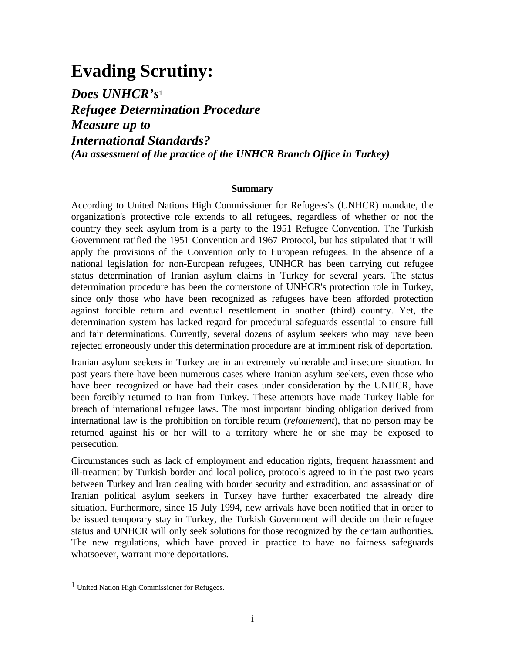# **Evading Scrutiny:**

*Does UNHCR's*<sup>1</sup> *Refugee Determination Procedure Measure up to International Standards? (An assessment of the practice of the UNHCR Branch Office in Turkey)*

#### **Summary**

According to United Nations High Commissioner for Refugees's (UNHCR) mandate, the organization's protective role extends to all refugees, regardless of whether or not the country they seek asylum from is a party to the 1951 Refugee Convention. The Turkish Government ratified the 1951 Convention and 1967 Protocol, but has stipulated that it will apply the provisions of the Convention only to European refugees. In the absence of a national legislation for non-European refugees, UNHCR has been carrying out refugee status determination of Iranian asylum claims in Turkey for several years. The status determination procedure has been the cornerstone of UNHCR's protection role in Turkey, since only those who have been recognized as refugees have been afforded protection against forcible return and eventual resettlement in another (third) country. Yet, the determination system has lacked regard for procedural safeguards essential to ensure full and fair determinations. Currently, several dozens of asylum seekers who may have been rejected erroneously under this determination procedure are at imminent risk of deportation.

Iranian asylum seekers in Turkey are in an extremely vulnerable and insecure situation. In past years there have been numerous cases where Iranian asylum seekers, even those who have been recognized or have had their cases under consideration by the UNHCR, have been forcibly returned to Iran from Turkey. These attempts have made Turkey liable for breach of international refugee laws. The most important binding obligation derived from international law is the prohibition on forcible return (*refoulement*), that no person may be returned against his or her will to a territory where he or she may be exposed to persecution.

Circumstances such as lack of employment and education rights, frequent harassment and ill-treatment by Turkish border and local police, protocols agreed to in the past two years between Turkey and Iran dealing with border security and extradition, and assassination of Iranian political asylum seekers in Turkey have further exacerbated the already dire situation. Furthermore, since 15 July 1994, new arrivals have been notified that in order to be issued temporary stay in Turkey, the Turkish Government will decide on their refugee status and UNHCR will only seek solutions for those recognized by the certain authorities. The new regulations, which have proved in practice to have no fairness safeguards whatsoever, warrant more deportations.

<sup>1</sup> United Nation High Commissioner for Refugees.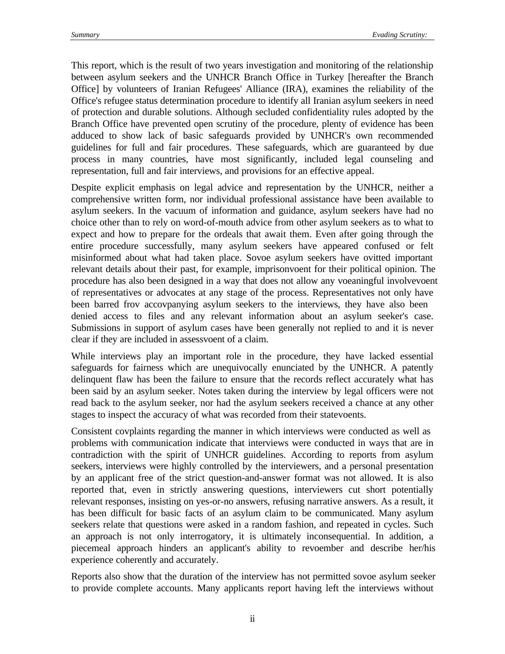This report, which is the result of two years investigation and monitoring of the relationship between asylum seekers and the UNHCR Branch Office in Turkey [hereafter the Branch Office] by volunteers of Iranian Refugees' Alliance (IRA), examines the reliability of the Office's refugee status determination procedure to identify all Iranian asylum seekers in need of protection and durable solutions. Although secluded confidentiality rules adopted by the Branch Office have prevented open scrutiny of the procedure, plenty of evidence has been adduced to show lack of basic safeguards provided by UNHCR's own recommended guidelines for full and fair procedures. These safeguards, which are guaranteed by due process in many countries, have most significantly, included legal counseling and representation, full and fair interviews, and provisions for an effective appeal.

Despite explicit emphasis on legal advice and representation by the UNHCR, neither a comprehensive written form, nor individual professional assistance have been available to asylum seekers. In the vacuum of information and guidance, asylum seekers have had no choice other than to rely on word-of-mouth advice from other asylum seekers as to what to expect and how to prepare for the ordeals that await them. Even after going through the entire procedure successfully, many asylum seekers have appeared confused or felt misinformed about what had taken place. Sovoe asylum seekers have ovitted important relevant details about their past, for example, imprisonvoent for their political opinion. The procedure has also been designed in a way that does not allow any voeaningful involvevoent of representatives or advocates at any stage of the process. Representatives not only have been barred frov accovpanying asylum seekers to the interviews, they have also been denied access to files and any relevant information about an asylum seeker's case. Submissions in support of asylum cases have been generally not replied to and it is never clear if they are included in assessvoent of a claim.

While interviews play an important role in the procedure, they have lacked essential safeguards for fairness which are unequivocally enunciated by the UNHCR. A patently delinquent flaw has been the failure to ensure that the records reflect accurately what has been said by an asylum seeker. Notes taken during the interview by legal officers were not read back to the asylum seeker, nor had the asylum seekers received a chance at any other stages to inspect the accuracy of what was recorded from their statevoents.

Consistent covplaints regarding the manner in which interviews were conducted as well as problems with communication indicate that interviews were conducted in ways that are in contradiction with the spirit of UNHCR guidelines. According to reports from asylum seekers, interviews were highly controlled by the interviewers, and a personal presentation by an applicant free of the strict question-and-answer format was not allowed. It is also reported that, even in strictly answering questions, interviewers cut short potentially relevant responses, insisting on yes-or-no answers, refusing narrative answers. As a result, it has been difficult for basic facts of an asylum claim to be communicated. Many asylum seekers relate that questions were asked in a random fashion, and repeated in cycles. Such an approach is not only interrogatory, it is ultimately inconsequential. In addition, a piecemeal approach hinders an applicant's ability to revoember and describe her/his experience coherently and accurately.

Reports also show that the duration of the interview has not permitted sovoe asylum seeker to provide complete accounts. Many applicants report having left the interviews without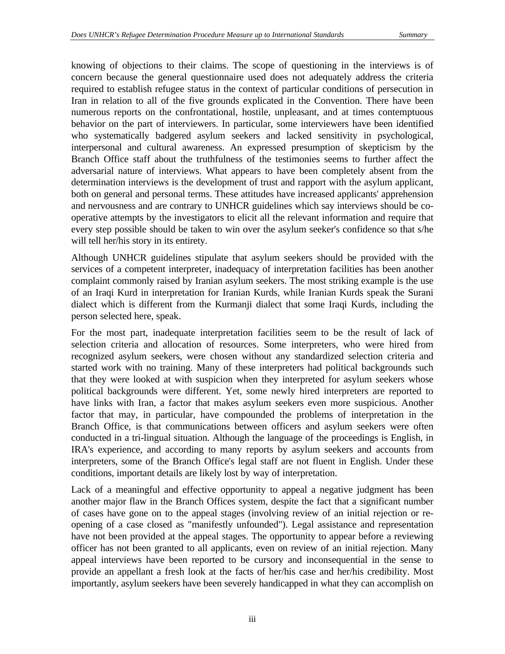knowing of objections to their claims. The scope of questioning in the interviews is of concern because the general questionnaire used does not adequately address the criteria required to establish refugee status in the context of particular conditions of persecution in Iran in relation to all of the five grounds explicated in the Convention. There have been numerous reports on the confrontational, hostile, unpleasant, and at times contemptuous behavior on the part of interviewers. In particular, some interviewers have been identified who systematically badgered asylum seekers and lacked sensitivity in psychological, interpersonal and cultural awareness. An expressed presumption of skepticism by the Branch Office staff about the truthfulness of the testimonies seems to further affect the adversarial nature of interviews. What appears to have been completely absent from the determination interviews is the development of trust and rapport with the asylum applicant, both on general and personal terms. These attitudes have increased applicants' apprehension and nervousness and are contrary to UNHCR guidelines which say interviews should be cooperative attempts by the investigators to elicit all the relevant information and require that every step possible should be taken to win over the asylum seeker's confidence so that s/he will tell her/his story in its entirety.

Although UNHCR guidelines stipulate that asylum seekers should be provided with the services of a competent interpreter, inadequacy of interpretation facilities has been another complaint commonly raised by Iranian asylum seekers. The most striking example is the use of an Iraqi Kurd in interpretation for Iranian Kurds, while Iranian Kurds speak the Surani dialect which is different from the Kurmanji dialect that some Iraqi Kurds, including the person selected here, speak.

For the most part, inadequate interpretation facilities seem to be the result of lack of selection criteria and allocation of resources. Some interpreters, who were hired from recognized asylum seekers, were chosen without any standardized selection criteria and started work with no training. Many of these interpreters had political backgrounds such that they were looked at with suspicion when they interpreted for asylum seekers whose political backgrounds were different. Yet, some newly hired interpreters are reported to have links with Iran, a factor that makes asylum seekers even more suspicious. Another factor that may, in particular, have compounded the problems of interpretation in the Branch Office, is that communications between officers and asylum seekers were often conducted in a tri-lingual situation. Although the language of the proceedings is English, in IRA's experience, and according to many reports by asylum seekers and accounts from interpreters, some of the Branch Office's legal staff are not fluent in English. Under these conditions, important details are likely lost by way of interpretation.

Lack of a meaningful and effective opportunity to appeal a negative judgment has been another major flaw in the Branch Offices system, despite the fact that a significant number of cases have gone on to the appeal stages (involving review of an initial rejection or reopening of a case closed as "manifestly unfounded"). Legal assistance and representation have not been provided at the appeal stages. The opportunity to appear before a reviewing officer has not been granted to all applicants, even on review of an initial rejection. Many appeal interviews have been reported to be cursory and inconsequential in the sense to provide an appellant a fresh look at the facts of her/his case and her/his credibility. Most importantly, asylum seekers have been severely handicapped in what they can accomplish on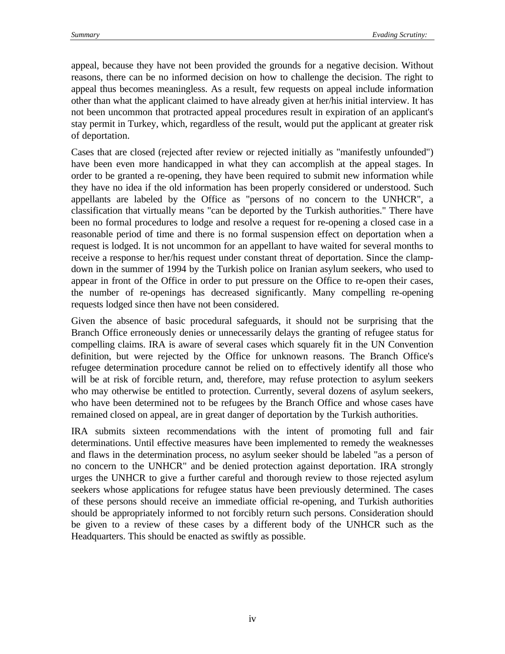appeal, because they have not been provided the grounds for a negative decision. Without reasons, there can be no informed decision on how to challenge the decision. The right to appeal thus becomes meaningless. As a result, few requests on appeal include information other than what the applicant claimed to have already given at her/his initial interview. It has not been uncommon that protracted appeal procedures result in expiration of an applicant's stay permit in Turkey, which, regardless of the result, would put the applicant at greater risk of deportation.

Cases that are closed (rejected after review or rejected initially as "manifestly unfounded") have been even more handicapped in what they can accomplish at the appeal stages. In order to be granted a re-opening, they have been required to submit new information while they have no idea if the old information has been properly considered or understood. Such appellants are labeled by the Office as "persons of no concern to the UNHCR", a classification that virtually means "can be deported by the Turkish authorities." There have been no formal procedures to lodge and resolve a request for re-opening a closed case in a reasonable period of time and there is no formal suspension effect on deportation when a request is lodged. It is not uncommon for an appellant to have waited for several months to receive a response to her/his request under constant threat of deportation. Since the clampdown in the summer of 1994 by the Turkish police on Iranian asylum seekers, who used to appear in front of the Office in order to put pressure on the Office to re-open their cases, the number of re-openings has decreased significantly. Many compelling re-opening requests lodged since then have not been considered.

Given the absence of basic procedural safeguards, it should not be surprising that the Branch Office erroneously denies or unnecessarily delays the granting of refugee status for compelling claims. IRA is aware of several cases which squarely fit in the UN Convention definition, but were rejected by the Office for unknown reasons. The Branch Office's refugee determination procedure cannot be relied on to effectively identify all those who will be at risk of forcible return*,* and, therefore, may refuse protection to asylum seekers who may otherwise be entitled to protection. Currently, several dozens of asylum seekers, who have been determined not to be refugees by the Branch Office and whose cases have remained closed on appeal, are in great danger of deportation by the Turkish authorities.

IRA submits sixteen recommendations with the intent of promoting full and fair determinations. Until effective measures have been implemented to remedy the weaknesses and flaws in the determination process, no asylum seeker should be labeled "as a person of no concern to the UNHCR" and be denied protection against deportation. IRA strongly urges the UNHCR to give a further careful and thorough review to those rejected asylum seekers whose applications for refugee status have been previously determined. The cases of these persons should receive an immediate official re-opening, and Turkish authorities should be appropriately informed to not forcibly return such persons. Consideration should be given to a review of these cases by a different body of the UNHCR such as the Headquarters. This should be enacted as swiftly as possible.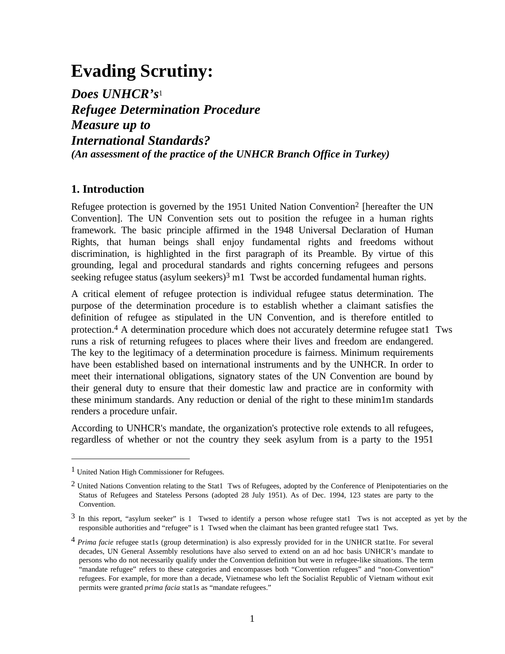# **Evading Scrutiny:**

*Does UNHCR's*<sup>1</sup> *Refugee Determination Procedure Measure up to International Standards? (An assessment of the practice of the UNHCR Branch Office in Turkey)*

## **1. Introduction**

Refugee protection is governed by the 1951 United Nation Convention<sup>2</sup> [hereafter the UN Convention]. The UN Convention sets out to position the refugee in a human rights framework. The basic principle affirmed in the 1948 Universal Declaration of Human Rights, that human beings shall enjoy fundamental rights and freedoms without discrimination, is highlighted in the first paragraph of its Preamble. By virtue of this grounding, legal and procedural standards and rights concerning refugees and persons seeking refugee status (asylum seekers) $3 \text{ m1}$  Twst be accorded fundamental human rights.

A critical element of refugee protection is individual refugee status determination. The purpose of the determination procedure is to establish whether a claimant satisfies the definition of refugee as stipulated in the UN Convention, and is therefore entitled to protection.4 A determination procedure which does not accurately determine refugee stat1 Tws runs a risk of returning refugees to places where their lives and freedom are endangered. The key to the legitimacy of a determination procedure is fairness. Minimum requirements have been established based on international instruments and by the UNHCR. In order to meet their international obligations, signatory states of the UN Convention are bound by their general duty to ensure that their domestic law and practice are in conformity with these minimum standards. Any reduction or denial of the right to these minim1m standards renders a procedure unfair.

According to UNHCR's mandate, the organization's protective role extends to all refugees, regardless of whether or not the country they seek asylum from is a party to the 1951

<sup>1</sup> United Nation High Commissioner for Refugees.

 $2$  United Nations Convention relating to the Stat1 Tws of Refugees, adopted by the Conference of Plenipotentiaries on the Status of Refugees and Stateless Persons (adopted 28 July 1951). As of Dec. 1994, 123 states are party to the Convention.

<sup>3</sup> In this report, "asylum seeker" is 1 Twsed to identify a person whose refugee stat1 Tws is not accepted as yet by the responsible authorities and "refugee" is 1 Twsed when the claimant has been granted refugee stat1 Tws.

<sup>4</sup> *Prima facie* refugee stat1s (group determination) is also expressly provided for in the UNHCR stat1te. For several decades, UN General Assembly resolutions have also served to extend on an ad hoc basis UNHCR's mandate to persons who do not necessarily qualify under the Convention definition but were in refugee-like situations. The term "mandate refugee" refers to these categories and encompasses both "Convention refugees" and "non-Convention" refugees. For example, for more than a decade, Vietnamese who left the Socialist Republic of Vietnam without exit permits were granted *prima facia* stat1s as "mandate refugees."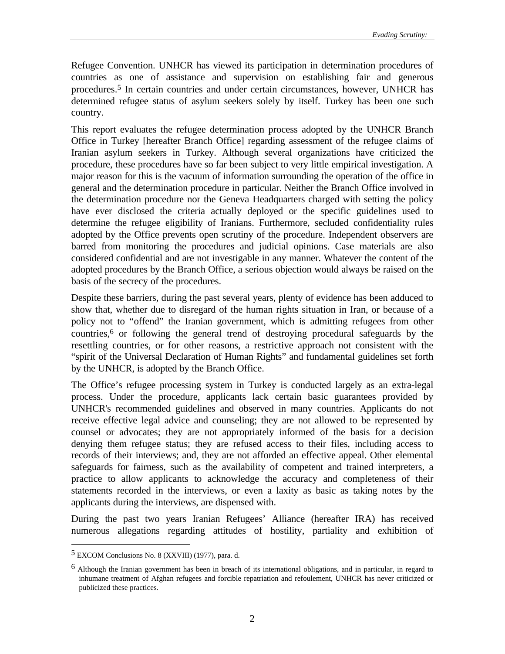Refugee Convention. UNHCR has viewed its participation in determination procedures of countries as one of assistance and supervision on establishing fair and generous procedures.5 In certain countries and under certain circumstances, however, UNHCR has determined refugee status of asylum seekers solely by itself. Turkey has been one such country.

This report evaluates the refugee determination process adopted by the UNHCR Branch Office in Turkey [hereafter Branch Office] regarding assessment of the refugee claims of Iranian asylum seekers in Turkey. Although several organizations have criticized the procedure, these procedures have so far been subject to very little empirical investigation. A major reason for this is the vacuum of information surrounding the operation of the office in general and the determination procedure in particular. Neither the Branch Office involved in the determination procedure nor the Geneva Headquarters charged with setting the policy have ever disclosed the criteria actually deployed or the specific guidelines used to determine the refugee eligibility of Iranians. Furthermore, secluded confidentiality rules adopted by the Office prevents open scrutiny of the procedure. Independent observers are barred from monitoring the procedures and judicial opinions. Case materials are also considered confidential and are not investigable in any manner. Whatever the content of the adopted procedures by the Branch Office, a serious objection would always be raised on the basis of the secrecy of the procedures.

Despite these barriers, during the past several years, plenty of evidence has been adduced to show that, whether due to disregard of the human rights situation in Iran, or because of a policy not to "offend" the Iranian government, which is admitting refugees from other countries,6 or following the general trend of destroying procedural safeguards by the resettling countries, or for other reasons, a restrictive approach not consistent with the "spirit of the Universal Declaration of Human Rights" and fundamental guidelines set forth by the UNHCR, is adopted by the Branch Office.

The Office's refugee processing system in Turkey is conducted largely as an extra-legal process. Under the procedure, applicants lack certain basic guarantees provided by UNHCR's recommended guidelines and observed in many countries. Applicants do not receive effective legal advice and counseling; they are not allowed to be represented by counsel or advocates; they are not appropriately informed of the basis for a decision denying them refugee status; they are refused access to their files, including access to records of their interviews; and, they are not afforded an effective appeal. Other elemental safeguards for fairness, such as the availability of competent and trained interpreters, a practice to allow applicants to acknowledge the accuracy and completeness of their statements recorded in the interviews, or even a laxity as basic as taking notes by the applicants during the interviews, are dispensed with.

During the past two years Iranian Refugees' Alliance (hereafter IRA) has received numerous allegations regarding attitudes of hostility, partiality and exhibition of

<sup>5</sup> EXCOM Conclusions No. 8 (XXVIII) (1977), para. d.

<sup>6</sup> Although the Iranian government has been in breach of its international obligations, and in particular, in regard to inhumane treatment of Afghan refugees and forcible repatriation and refoulement, UNHCR has never criticized or publicized these practices.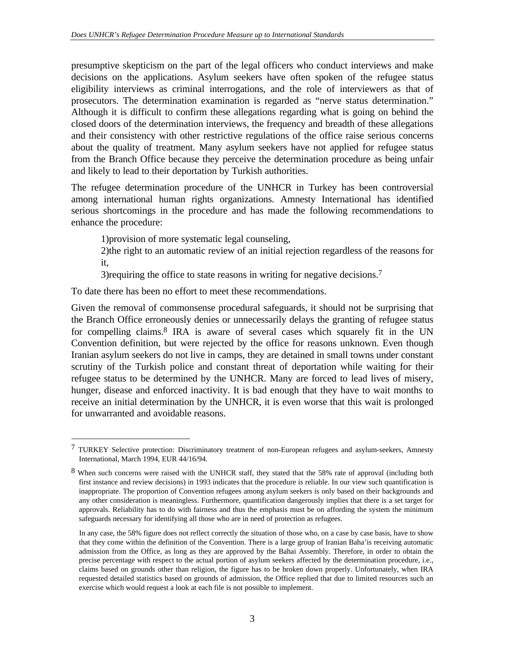presumptive skepticism on the part of the legal officers who conduct interviews and make decisions on the applications. Asylum seekers have often spoken of the refugee status eligibility interviews as criminal interrogations, and the role of interviewers as that of prosecutors. The determination examination is regarded as "nerve status determination." Although it is difficult to confirm these allegations regarding what is going on behind the closed doors of the determination interviews, the frequency and breadth of these allegations and their consistency with other restrictive regulations of the office raise serious concerns about the quality of treatment. Many asylum seekers have not applied for refugee status from the Branch Office because they perceive the determination procedure as being unfair and likely to lead to their deportation by Turkish authorities.

The refugee determination procedure of the UNHCR in Turkey has been controversial among international human rights organizations. Amnesty International has identified serious shortcomings in the procedure and has made the following recommendations to enhance the procedure:

1)provision of more systematic legal counseling,

2)the right to an automatic review of an initial rejection regardless of the reasons for it,

3)requiring the office to state reasons in writing for negative decisions.7

To date there has been no effort to meet these recommendations.

j

Given the removal of commonsense procedural safeguards, it should not be surprising that the Branch Office erroneously denies or unnecessarily delays the granting of refugee status for compelling claims.<sup>8</sup> IRA is aware of several cases which squarely fit in the UN Convention definition, but were rejected by the office for reasons unknown. Even though Iranian asylum seekers do not live in camps, they are detained in small towns under constant scrutiny of the Turkish police and constant threat of deportation while waiting for their refugee status to be determined by the UNHCR. Many are forced to lead lives of misery, hunger, disease and enforced inactivity. It is bad enough that they have to wait months to receive an initial determination by the UNHCR, it is even worse that this wait is prolonged for unwarranted and avoidable reasons.

<sup>7</sup> TURKEY Selective protection: Discriminatory treatment of non-European refugees and asylum-seekers, Amnesty International, March 1994, EUR 44/16/94.

<sup>8</sup> When such concerns were raised with the UNHCR staff, they stated that the 58% rate of approval (including both first instance and review decisions) in 1993 indicates that the procedure is reliable. In our view such quantification is inappropriate. The proportion of Convention refugees among asylum seekers is only based on their backgrounds and any other consideration is meaningless. Furthermore, quantification dangerously implies that there is a set target for approvals. Reliability has to do with fairness and thus the emphasis must be on affording the system the minimum safeguards necessary for identifying all those who are in need of protection as refugees.

In any case, the 58% figure does not reflect correctly the situation of those who, on a case by case basis, have to show that they come within the definition of the Convention. There is a large group of Iranian Baha'is receiving automatic admission from the Office, as long as they are approved by the Bahai Assembly. Therefore, in order to obtain the precise percentage with respect to the actual portion of asylum seekers affected by the determination procedure, i.e., claims based on grounds other than religion, the figure has to be broken down properly. Unfortunately, when IRA requested detailed statistics based on grounds of admission, the Office replied that due to limited resources such an exercise which would request a look at each file is not possible to implement.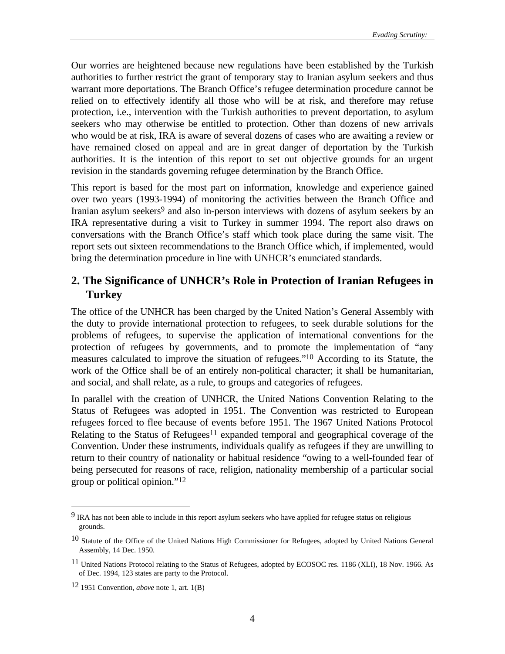Our worries are heightened because new regulations have been established by the Turkish authorities to further restrict the grant of temporary stay to Iranian asylum seekers and thus warrant more deportations. The Branch Office's refugee determination procedure cannot be relied on to effectively identify all those who will be at risk, and therefore may refuse protection, i.e., intervention with the Turkish authorities to prevent deportation, to asylum seekers who may otherwise be entitled to protection. Other than dozens of new arrivals who would be at risk, IRA is aware of several dozens of cases who are awaiting a review or have remained closed on appeal and are in great danger of deportation by the Turkish authorities. It is the intention of this report to set out objective grounds for an urgent revision in the standards governing refugee determination by the Branch Office.

This report is based for the most part on information, knowledge and experience gained over two years (1993-1994) of monitoring the activities between the Branch Office and Iranian asylum seekers<sup>9</sup> and also in-person interviews with dozens of asylum seekers by an IRA representative during a visit to Turkey in summer 1994. The report also draws on conversations with the Branch Office's staff which took place during the same visit. The report sets out sixteen recommendations to the Branch Office which, if implemented, would bring the determination procedure in line with UNHCR's enunciated standards.

# **2. The Significance of UNHCR's Role in Protection of Iranian Refugees in Turkey**

The office of the UNHCR has been charged by the United Nation's General Assembly with the duty to provide international protection to refugees, to seek durable solutions for the problems of refugees, to supervise the application of international conventions for the protection of refugees by governments, and to promote the implementation of "any measures calculated to improve the situation of refugees."10 According to its Statute, the work of the Office shall be of an entirely non-political character; it shall be humanitarian, and social, and shall relate, as a rule, to groups and categories of refugees.

In parallel with the creation of UNHCR, the United Nations Convention Relating to the Status of Refugees was adopted in 1951. The Convention was restricted to European refugees forced to flee because of events before 1951. The 1967 United Nations Protocol Relating to the Status of Refugees<sup>11</sup> expanded temporal and geographical coverage of the Convention. Under these instruments, individuals qualify as refugees if they are unwilling to return to their country of nationality or habitual residence "owing to a well-founded fear of being persecuted for reasons of race, religion, nationality membership of a particular social group or political opinion."12

<sup>&</sup>lt;sup>9</sup> IRA has not been able to include in this report asylum seekers who have applied for refugee status on religious grounds.

<sup>&</sup>lt;sup>10</sup> Statute of the Office of the United Nations High Commissioner for Refugees, adopted by United Nations General Assembly, 14 Dec. 1950.

<sup>11</sup> United Nations Protocol relating to the Status of Refugees, adopted by ECOSOC res. 1186 (XLI), 18 Nov. 1966. As of Dec. 1994, 123 states are party to the Protocol.

<sup>12 1951</sup> Convention, *above* note 1, art. 1(B)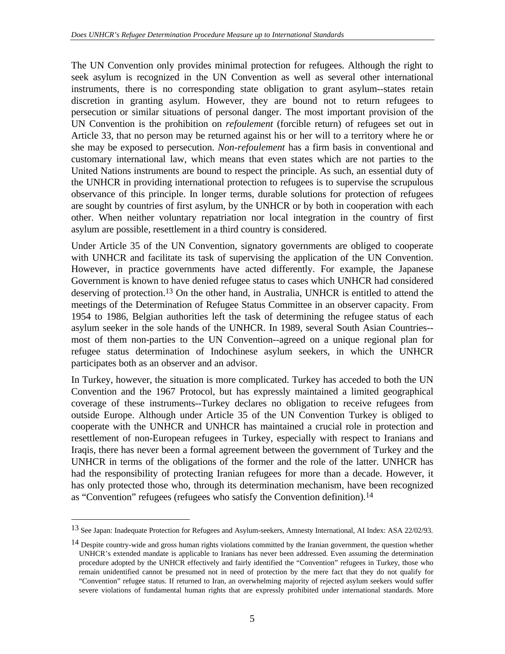The UN Convention only provides minimal protection for refugees. Although the right to seek asylum is recognized in the UN Convention as well as several other international instruments, there is no corresponding state obligation to grant asylum--states retain discretion in granting asylum. However, they are bound not to return refugees to persecution or similar situations of personal danger. The most important provision of the UN Convention is the prohibition on *refoulement* (forcible return) of refugees set out in Article 33, that no person may be returned against his or her will to a territory where he or she may be exposed to persecution. *Non-refoulement* has a firm basis in conventional and customary international law, which means that even states which are not parties to the United Nations instruments are bound to respect the principle. As such, an essential duty of the UNHCR in providing international protection to refugees is to supervise the scrupulous observance of this principle. In longer terms, durable solutions for protection of refugees are sought by countries of first asylum, by the UNHCR or by both in cooperation with each other. When neither voluntary repatriation nor local integration in the country of first asylum are possible, resettlement in a third country is considered.

Under Article 35 of the UN Convention, signatory governments are obliged to cooperate with UNHCR and facilitate its task of supervising the application of the UN Convention. However, in practice governments have acted differently. For example, the Japanese Government is known to have denied refugee status to cases which UNHCR had considered deserving of protection.<sup>13</sup> On the other hand, in Australia, UNHCR is entitled to attend the meetings of the Determination of Refugee Status Committee in an observer capacity. From 1954 to 1986, Belgian authorities left the task of determining the refugee status of each asylum seeker in the sole hands of the UNHCR. In 1989, several South Asian Countries- most of them non-parties to the UN Convention--agreed on a unique regional plan for refugee status determination of Indochinese asylum seekers, in which the UNHCR participates both as an observer and an advisor.

In Turkey, however, the situation is more complicated. Turkey has acceded to both the UN Convention and the 1967 Protocol, but has expressly maintained a limited geographical coverage of these instruments--Turkey declares no obligation to receive refugees from outside Europe. Although under Article 35 of the UN Convention Turkey is obliged to cooperate with the UNHCR and UNHCR has maintained a crucial role in protection and resettlement of non-European refugees in Turkey, especially with respect to Iranians and Iraqis, there has never been a formal agreement between the government of Turkey and the UNHCR in terms of the obligations of the former and the role of the latter. UNHCR has had the responsibility of protecting Iranian refugees for more than a decade. However, it has only protected those who, through its determination mechanism, have been recognized as "Convention" refugees (refugees who satisfy the Convention definition).14

<sup>13</sup> See Japan: Inadequate Protection for Refugees and Asylum-seekers, Amnesty International, AI Index: ASA 22/02/93.

<sup>&</sup>lt;sup>14</sup> Despite country-wide and gross human rights violations committed by the Iranian government, the question whether UNHCR's extended mandate is applicable to Iranians has never been addressed. Even assuming the determination procedure adopted by the UNHCR effectively and fairly identified the "Convention" refugees in Turkey, those who remain unidentified cannot be presumed not in need of protection by the mere fact that they do not qualify for "Convention" refugee status. If returned to Iran, an overwhelming majority of rejected asylum seekers would suffer severe violations of fundamental human rights that are expressly prohibited under international standards. More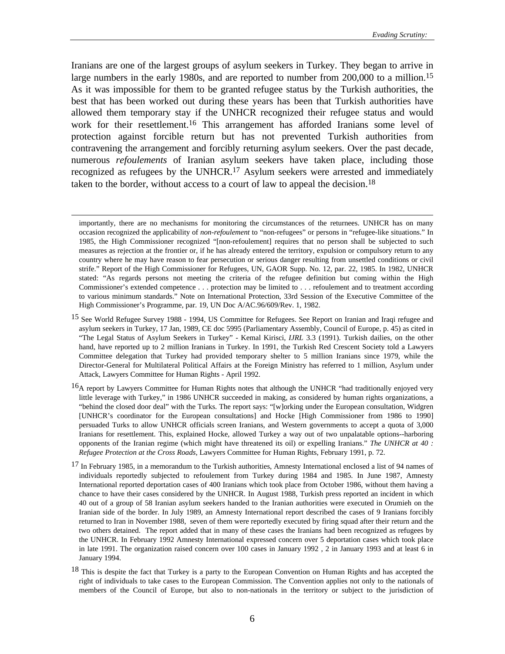Iranians are one of the largest groups of asylum seekers in Turkey. They began to arrive in large numbers in the early 1980s, and are reported to number from 200,000 to a million.<sup>15</sup> As it was impossible for them to be granted refugee status by the Turkish authorities, the best that has been worked out during these years has been that Turkish authorities have allowed them temporary stay if the UNHCR recognized their refugee status and would work for their resettlement.16 This arrangement has afforded Iranians some level of protection against forcible return but has not prevented Turkish authorities from contravening the arrangement and forcibly returning asylum seekers. Over the past decade, numerous *refoulements* of Iranian asylum seekers have taken place, including those recognized as refugees by the UNHCR.17 Asylum seekers were arrested and immediately taken to the border, without access to a court of law to appeal the decision.<sup>18</sup>

importantly, there are no mechanisms for monitoring the circumstances of the returnees. UNHCR has on many occasion recognized the applicability of *non-refoulement* to "non-refugees" or persons in "refugee-like situations." In 1985, the High Commissioner recognized "[non-refoulement] requires that no person shall be subjected to such measures as rejection at the frontier or, if he has already entered the territory, expulsion or compulsory return to any country where he may have reason to fear persecution or serious danger resulting from unsettled conditions or civil strife." Report of the High Commissioner for Refugees, UN, GAOR Supp. No. 12, par. 22, 1985. In 1982, UNHCR stated: "As regards persons not meeting the criteria of the refugee definition but coming within the High Commissioner's extended competence . . . protection may be limited to . . . refoulement and to treatment according to various minimum standards." Note on International Protection, 33rd Session of the Executive Committee of the High Commissioner's Programme, par. 19, UN Doc A/AC.96/609/Rev. 1, 1982.

<sup>15</sup> See World Refugee Survey 1988 - 1994, US Committee for Refugees. See Report on Iranian and Iraqi refugee and asylum seekers in Turkey, 17 Jan, 1989, CE doc 5995 (Parliamentary Assembly, Council of Europe, p. 45) as cited in "The Legal Status of Asylum Seekers in Turkey" - Kemal Kirisci, *IJRL* 3.3 (1991). Turkish dailies, on the other hand, have reported up to 2 million Iranians in Turkey. In 1991, the Turkish Red Crescent Society told a Lawyers Committee delegation that Turkey had provided temporary shelter to 5 million Iranians since 1979, while the Director-General for Multilateral Political Affairs at the Foreign Ministry has referred to 1 million, Asylum under Attack, Lawyers Committee for Human Rights - April 1992.

<sup>&</sup>lt;sup>16</sup>A report by Lawyers Committee for Human Rights notes that although the UNHCR "had traditionally enjoyed very little leverage with Turkey," in 1986 UNHCR succeeded in making, as considered by human rights organizations, a "behind the closed door deal" with the Turks. The report says: "[w]orking under the European consultation, Widgren [UNHCR's coordinator for the European consultations] and Hocke [High Commissioner from 1986 to 1990] persuaded Turks to allow UNHCR officials screen Iranians, and Western governments to accept a quota of 3,000 Iranians for resettlement. This, explained Hocke, allowed Turkey a way out of two unpalatable options--harboring opponents of the Iranian regime (which might have threatened its oil) or expelling Iranians." *The UNHCR at 40 : Refugee Protection at the Cross Roads*, Lawyers Committee for Human Rights, February 1991, p. 72.

<sup>17</sup> In February 1985, in a memorandum to the Turkish authorities, Amnesty International enclosed a list of 94 names of individuals reportedly subjected to refoulement from Turkey during 1984 and 1985. In June 1987, Amnesty International reported deportation cases of 400 Iranians which took place from October 1986, without them having a chance to have their cases considered by the UNHCR. In August 1988, Turkish press reported an incident in which 40 out of a group of 58 Iranian asylum seekers handed to the Iranian authorities were executed in Orumieh on the Iranian side of the border. In July 1989, an Amnesty International report described the cases of 9 Iranians forcibly returned to Iran in November 1988, seven of them were reportedly executed by firing squad after their return and the two others detained. The report added that in many of these cases the Iranians had been recognized as refugees by the UNHCR. In February 1992 Amnesty International expressed concern over 5 deportation cases which took place in late 1991. The organization raised concern over 100 cases in January 1992 , 2 in January 1993 and at least 6 in January 1994.

<sup>&</sup>lt;sup>18</sup> This is despite the fact that Turkey is a party to the European Convention on Human Rights and has accepted the right of individuals to take cases to the European Commission. The Convention applies not only to the nationals of members of the Council of Europe, but also to non-nationals in the territory or subject to the jurisdiction of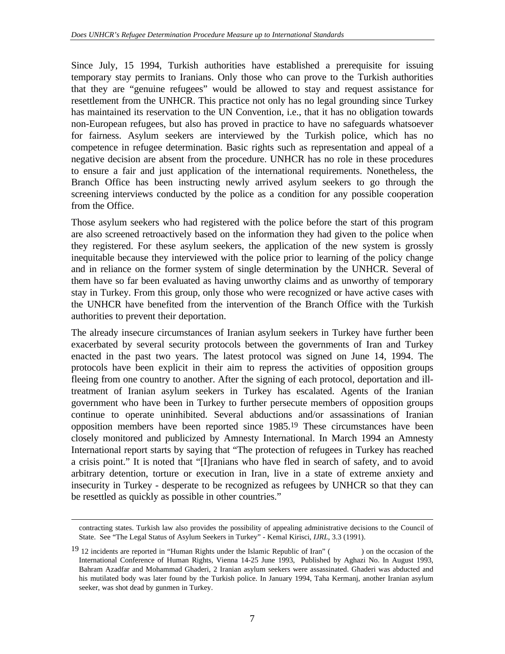Since July, 15 1994, Turkish authorities have established a prerequisite for issuing temporary stay permits to Iranians. Only those who can prove to the Turkish authorities that they are "genuine refugees" would be allowed to stay and request assistance for resettlement from the UNHCR. This practice not only has no legal grounding since Turkey has maintained its reservation to the UN Convention, i.e., that it has no obligation towards non-European refugees, but also has proved in practice to have no safeguards whatsoever for fairness. Asylum seekers are interviewed by the Turkish police, which has no competence in refugee determination. Basic rights such as representation and appeal of a negative decision are absent from the procedure. UNHCR has no role in these procedures to ensure a fair and just application of the international requirements. Nonetheless, the Branch Office has been instructing newly arrived asylum seekers to go through the screening interviews conducted by the police as a condition for any possible cooperation from the Office.

Those asylum seekers who had registered with the police before the start of this program are also screened retroactively based on the information they had given to the police when they registered. For these asylum seekers, the application of the new system is grossly inequitable because they interviewed with the police prior to learning of the policy change and in reliance on the former system of single determination by the UNHCR. Several of them have so far been evaluated as having unworthy claims and as unworthy of temporary stay in Turkey. From this group, only those who were recognized or have active cases with the UNHCR have benefited from the intervention of the Branch Office with the Turkish authorities to prevent their deportation.

The already insecure circumstances of Iranian asylum seekers in Turkey have further been exacerbated by several security protocols between the governments of Iran and Turkey enacted in the past two years. The latest protocol was signed on June 14, 1994. The protocols have been explicit in their aim to repress the activities of opposition groups fleeing from one country to another. After the signing of each protocol, deportation and illtreatment of Iranian asylum seekers in Turkey has escalated. Agents of the Iranian government who have been in Turkey to further persecute members of opposition groups continue to operate uninhibited. Several abductions and/or assassinations of Iranian opposition members have been reported since 1985.19 These circumstances have been closely monitored and publicized by Amnesty International. In March 1994 an Amnesty International report starts by saying that "The protection of refugees in Turkey has reached a crisis point." It is noted that "[I]ranians who have fled in search of safety, and to avoid arbitrary detention, torture or execution in Iran, live in a state of extreme anxiety and insecurity in Turkey - desperate to be recognized as refugees by UNHCR so that they can be resettled as quickly as possible in other countries."

contracting states. Turkish law also provides the possibility of appealing administrative decisions to the Council of State. See "The Legal Status of Asylum Seekers in Turkey" - Kemal Kirisci, *IJRL*, 3.3 (1991).

<sup>&</sup>lt;sup>19</sup> 12 incidents are reported in "Human Rights under the Islamic Republic of Iran" () on the occasion of the International Conference of Human Rights, Vienna 14-25 June 1993, Published by Aghazi No. In August 1993, Bahram Azadfar and Mohammad Ghaderi, 2 Iranian asylum seekers were assassinated. Ghaderi was abducted and his mutilated body was later found by the Turkish police. In January 1994, Taha Kermanj, another Iranian asylum seeker, was shot dead by gunmen in Turkey.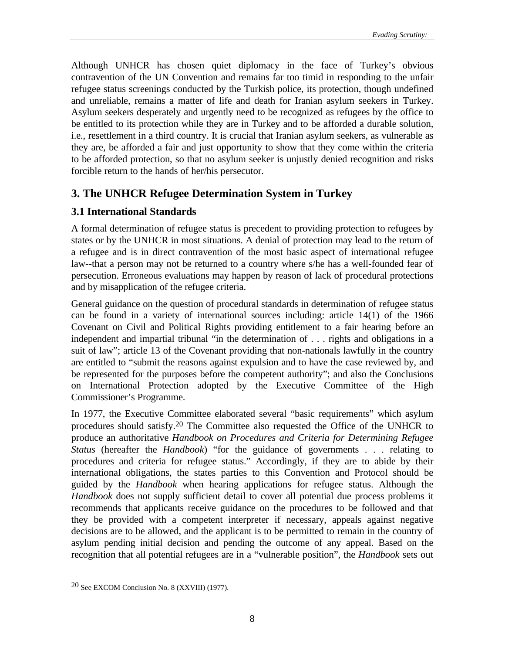Although UNHCR has chosen quiet diplomacy in the face of Turkey's obvious contravention of the UN Convention and remains far too timid in responding to the unfair refugee status screenings conducted by the Turkish police, its protection, though undefined and unreliable, remains a matter of life and death for Iranian asylum seekers in Turkey. Asylum seekers desperately and urgently need to be recognized as refugees by the office to be entitled to its protection while they are in Turkey and to be afforded a durable solution, i.e., resettlement in a third country. It is crucial that Iranian asylum seekers, as vulnerable as they are, be afforded a fair and just opportunity to show that they come within the criteria to be afforded protection, so that no asylum seeker is unjustly denied recognition and risks forcible return to the hands of her/his persecutor.

## **3. The UNHCR Refugee Determination System in Turkey**

#### **3.1 International Standards**

A formal determination of refugee status is precedent to providing protection to refugees by states or by the UNHCR in most situations. A denial of protection may lead to the return of a refugee and is in direct contravention of the most basic aspect of international refugee law--that a person may not be returned to a country where s/he has a well-founded fear of persecution. Erroneous evaluations may happen by reason of lack of procedural protections and by misapplication of the refugee criteria.

General guidance on the question of procedural standards in determination of refugee status can be found in a variety of international sources including: article 14(1) of the 1966 Covenant on Civil and Political Rights providing entitlement to a fair hearing before an independent and impartial tribunal "in the determination of . . . rights and obligations in a suit of law"; article 13 of the Covenant providing that non-nationals lawfully in the country are entitled to "submit the reasons against expulsion and to have the case reviewed by, and be represented for the purposes before the competent authority"; and also the Conclusions on International Protection adopted by the Executive Committee of the High Commissioner's Programme.

In 1977, the Executive Committee elaborated several "basic requirements" which asylum procedures should satisfy.20 The Committee also requested the Office of the UNHCR to produce an authoritative *Handbook on Procedures and Criteria for Determining Refugee Status* (hereafter the *Handbook*) "for the guidance of governments . . . relating to procedures and criteria for refugee status." Accordingly, if they are to abide by their international obligations, the states parties to this Convention and Protocol should be guided by the *Handbook* when hearing applications for refugee status. Although the *Handbook* does not supply sufficient detail to cover all potential due process problems it recommends that applicants receive guidance on the procedures to be followed and that they be provided with a competent interpreter if necessary, appeals against negative decisions are to be allowed, and the applicant is to be permitted to remain in the country of asylum pending initial decision and pending the outcome of any appeal. Based on the recognition that all potential refugees are in a "vulnerable position", the *Handbook* sets out

<sup>20</sup> See EXCOM Conclusion No. 8 (XXVIII) (1977).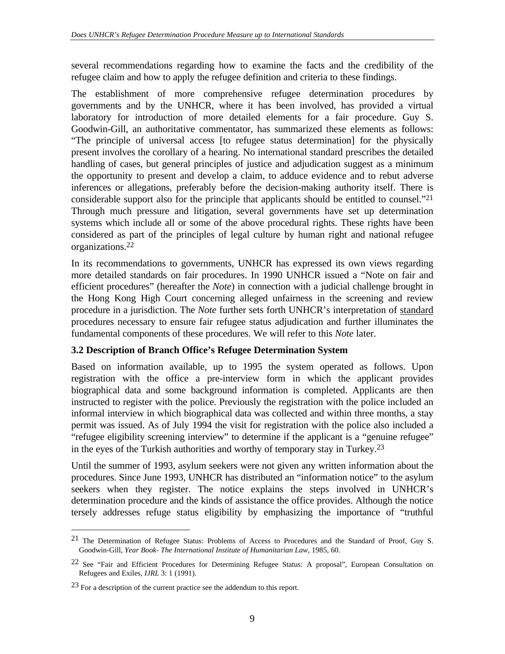several recommendations regarding how to examine the facts and the credibility of the refugee claim and how to apply the refugee definition and criteria to these findings.

The establishment of more comprehensive refugee determination procedures by governments and by the UNHCR, where it has been involved, has provided a virtual laboratory for introduction of more detailed elements for a fair procedure. Guy S. Goodwin-Gill, an authoritative commentator, has summarized these elements as follows: "The principle of universal access [to refugee status determination] for the physically present involves the corollary of a hearing. No international standard prescribes the detailed handling of cases, but general principles of justice and adjudication suggest as a minimum the opportunity to present and develop a claim, to adduce evidence and to rebut adverse inferences or allegations, preferably before the decision-making authority itself. There is considerable support also for the principle that applicants should be entitled to counsel."21 Through much pressure and litigation, several governments have set up determination systems which include all or some of the above procedural rights. These rights have been considered as part of the principles of legal culture by human right and national refugee organizations.22

In its recommendations to governments, UNHCR has expressed its own views regarding more detailed standards on fair procedures. In 1990 UNHCR issued a "Note on fair and efficient procedures" (hereafter the *Note*) in connection with a judicial challenge brought in the Hong Kong High Court concerning alleged unfairness in the screening and review procedure in a jurisdiction. The *Note* further sets forth UNHCR's interpretation of standard procedures necessary to ensure fair refugee status adjudication and further illuminates the fundamental components of these procedures. We will refer to this *Note* later.

## **3.2 Description of Branch Office's Refugee Determination System**

Based on information available, up to 1995 the system operated as follows. Upon registration with the office a pre-interview form in which the applicant provides biographical data and some background information is completed. Applicants are then instructed to register with the police. Previously the registration with the police included an informal interview in which biographical data was collected and within three months, a stay permit was issued. As of July 1994 the visit for registration with the police also included a "refugee eligibility screening interview" to determine if the applicant is a "genuine refugee" in the eyes of the Turkish authorities and worthy of temporary stay in Turkey.23

Until the summer of 1993, asylum seekers were not given any written information about the procedures. Since June 1993, UNHCR has distributed an "information notice" to the asylum seekers when they register. The notice explains the steps involved in UNHCR's determination procedure and the kinds of assistance the office provides. Although the notice tersely addresses refuge status eligibility by emphasizing the importance of "truthful

<sup>21</sup> The Determination of Refugee Status: Problems of Access to Procedures and the Standard of Proof, Guy S. Goodwin-Gill, *Year Book- The International Institute of Humanitarian Law*, 1985, 60.

<sup>&</sup>lt;sup>22</sup> See "Fair and Efficient Procedures for Determining Refugee Status: A proposal", European Consultation on Refugees and Exiles, *IJRL* 3: 1 (1991).

<sup>23</sup> For a description of the current practice see the addendum to this report.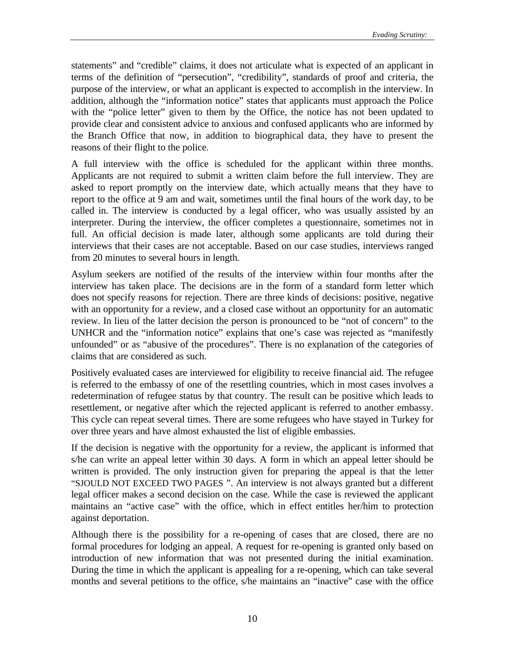statements" and "credible" claims, it does not articulate what is expected of an applicant in terms of the definition of "persecution", "credibility", standards of proof and criteria, the purpose of the interview, or what an applicant is expected to accomplish in the interview. In addition, although the "information notice" states that applicants must approach the Police with the "police letter" given to them by the Office, the notice has not been updated to provide clear and consistent advice to anxious and confused applicants who are informed by the Branch Office that now, in addition to biographical data, they have to present the reasons of their flight to the police.

A full interview with the office is scheduled for the applicant within three months. Applicants are not required to submit a written claim before the full interview. They are asked to report promptly on the interview date, which actually means that they have to report to the office at 9 am and wait, sometimes until the final hours of the work day, to be called in. The interview is conducted by a legal officer, who was usually assisted by an interpreter. During the interview, the officer completes a questionnaire, sometimes not in full. An official decision is made later, although some applicants are told during their interviews that their cases are not acceptable. Based on our case studies, interviews ranged from 20 minutes to several hours in length.

Asylum seekers are notified of the results of the interview within four months after the interview has taken place. The decisions are in the form of a standard form letter which does not specify reasons for rejection. There are three kinds of decisions: positive, negative with an opportunity for a review, and a closed case without an opportunity for an automatic review. In lieu of the latter decision the person is pronounced to be "not of concern" to the UNHCR and the "information notice" explains that one's case was rejected as "manifestly unfounded" or as "abusive of the procedures". There is no explanation of the categories of claims that are considered as such.

Positively evaluated cases are interviewed for eligibility to receive financial aid. The refugee is referred to the embassy of one of the resettling countries, which in most cases involves a redetermination of refugee status by that country. The result can be positive which leads to resettlement, or negative after which the rejected applicant is referred to another embassy. This cycle can repeat several times. There are some refugees who have stayed in Turkey for over three years and have almost exhausted the list of eligible embassies.

If the decision is negative with the opportunity for a review, the applicant is informed that s/he can write an appeal letter within 30 days. A form in which an appeal letter should be written is provided. The only instruction given for preparing the appeal is that the letter "SJOULD NOT EXCEED TWO PAGES ". An interview is not always granted but a different legal officer makes a second decision on the case. While the case is reviewed the applicant maintains an "active case" with the office, which in effect entitles her/him to protection against deportation.

Although there is the possibility for a re-opening of cases that are closed, there are no formal procedures for lodging an appeal. A request for re-opening is granted only based on introduction of new information that was not presented during the initial examination. During the time in which the applicant is appealing for a re-opening, which can take several months and several petitions to the office, s/he maintains an "inactive" case with the office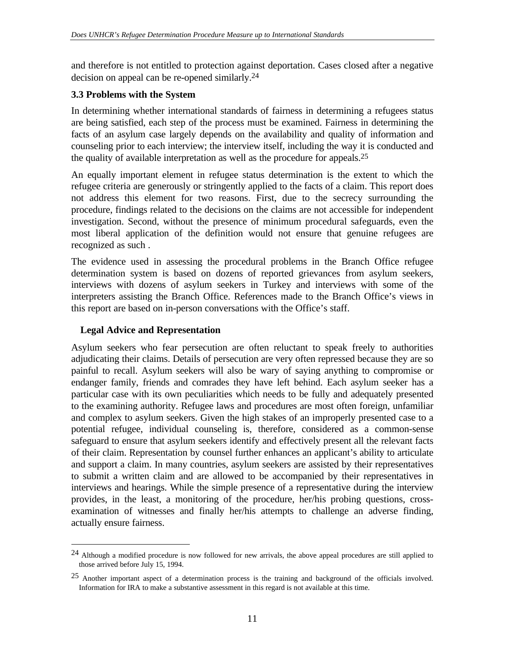and therefore is not entitled to protection against deportation. Cases closed after a negative decision on appeal can be re-opened similarly.24

#### **3.3 Problems with the System**

In determining whether international standards of fairness in determining a refugees status are being satisfied, each step of the process must be examined. Fairness in determining the facts of an asylum case largely depends on the availability and quality of information and counseling prior to each interview; the interview itself, including the way it is conducted and the quality of available interpretation as well as the procedure for appeals.25

An equally important element in refugee status determination is the extent to which the refugee criteria are generously or stringently applied to the facts of a claim. This report does not address this element for two reasons. First, due to the secrecy surrounding the procedure, findings related to the decisions on the claims are not accessible for independent investigation. Second, without the presence of minimum procedural safeguards, even the most liberal application of the definition would not ensure that genuine refugees are recognized as such .

The evidence used in assessing the procedural problems in the Branch Office refugee determination system is based on dozens of reported grievances from asylum seekers, interviews with dozens of asylum seekers in Turkey and interviews with some of the interpreters assisting the Branch Office. References made to the Branch Office's views in this report are based on in-person conversations with the Office's staff.

#### **Legal Advice and Representation**

 $\overline{a}$ 

Asylum seekers who fear persecution are often reluctant to speak freely to authorities adjudicating their claims. Details of persecution are very often repressed because they are so painful to recall. Asylum seekers will also be wary of saying anything to compromise or endanger family, friends and comrades they have left behind. Each asylum seeker has a particular case with its own peculiarities which needs to be fully and adequately presented to the examining authority. Refugee laws and procedures are most often foreign, unfamiliar and complex to asylum seekers. Given the high stakes of an improperly presented case to a potential refugee, individual counseling is, therefore, considered as a common-sense safeguard to ensure that asylum seekers identify and effectively present all the relevant facts of their claim. Representation by counsel further enhances an applicant's ability to articulate and support a claim. In many countries, asylum seekers are assisted by their representatives to submit a written claim and are allowed to be accompanied by their representatives in interviews and hearings. While the simple presence of a representative during the interview provides, in the least, a monitoring of the procedure, her/his probing questions, crossexamination of witnesses and finally her/his attempts to challenge an adverse finding, actually ensure fairness.

<sup>24</sup> Although a modified procedure is now followed for new arrivals, the above appeal procedures are still applied to those arrived before July 15, 1994.

<sup>25</sup> Another important aspect of a determination process is the training and background of the officials involved. Information for IRA to make a substantive assessment in this regard is not available at this time.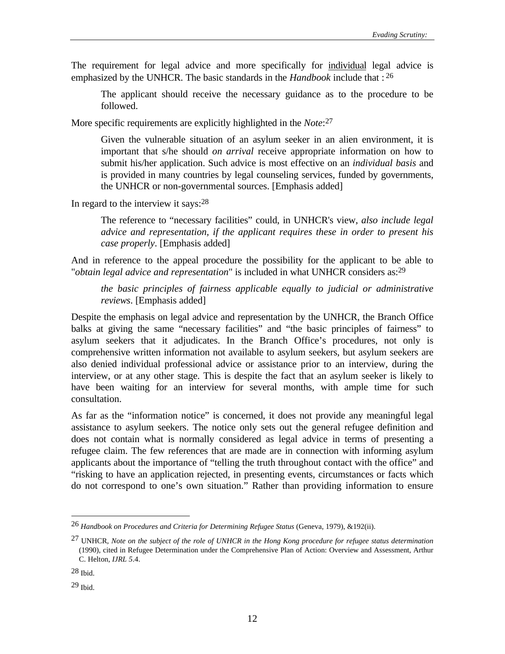The requirement for legal advice and more specifically for individual legal advice is emphasized by the UNHCR. The basic standards in the *Handbook* include that : 26

The applicant should receive the necessary guidance as to the procedure to be followed.

More specific requirements are explicitly highlighted in the *Note*: 27

Given the vulnerable situation of an asylum seeker in an alien environment, it is important that s/he should *on arrival* receive appropriate information on how to submit his/her application. Such advice is most effective on an *individual basis* and is provided in many countries by legal counseling services, funded by governments, the UNHCR or non-governmental sources. [Emphasis added]

In regard to the interview it says: $28$ 

The reference to "necessary facilities" could, in UNHCR's view, *also include legal advice and representation, if the applicant requires these in order to present his case properly*. [Emphasis added]

And in reference to the appeal procedure the possibility for the applicant to be able to "*obtain legal advice and representation*" is included in what UNHCR considers as:29

*the basic principles of fairness applicable equally to judicial or administrative reviews*. [Emphasis added]

Despite the emphasis on legal advice and representation by the UNHCR, the Branch Office balks at giving the same "necessary facilities" and "the basic principles of fairness" to asylum seekers that it adjudicates. In the Branch Office's procedures, not only is comprehensive written information not available to asylum seekers, but asylum seekers are also denied individual professional advice or assistance prior to an interview, during the interview, or at any other stage. This is despite the fact that an asylum seeker is likely to have been waiting for an interview for several months, with ample time for such consultation.

As far as the "information notice" is concerned, it does not provide any meaningful legal assistance to asylum seekers. The notice only sets out the general refugee definition and does not contain what is normally considered as legal advice in terms of presenting a refugee claim. The few references that are made are in connection with informing asylum applicants about the importance of "telling the truth throughout contact with the office" and "risking to have an application rejected, in presenting events, circumstances or facts which do not correspond to one's own situation." Rather than providing information to ensure

<sup>26</sup> *Handbook on Procedures and Criteria for Determining Refugee Status* (Geneva, 1979), &192(ii).

<sup>27</sup> UNHCR*, Note on the subject of the role of UNHCR in the Hong Kong procedure for refugee status determination* (1990), cited in Refugee Determination under the Comprehensive Plan of Action: Overview and Assessment, Arthur C. Helton, *IJRL 5*.4.

<sup>28</sup> Ibid.

<sup>29</sup> Ibid.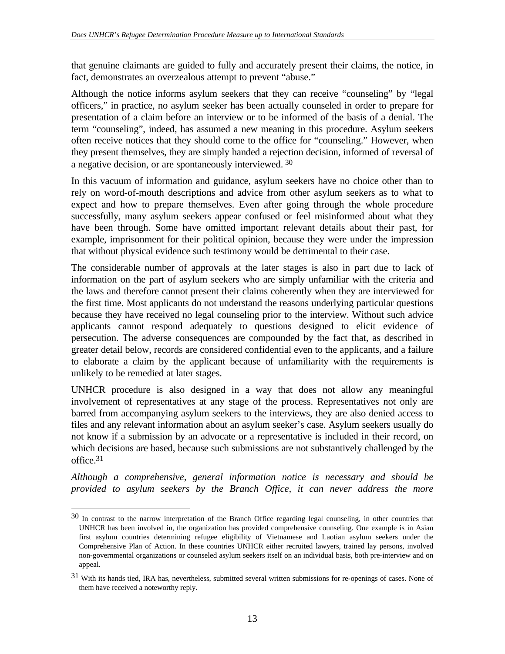that genuine claimants are guided to fully and accurately present their claims, the notice, in fact, demonstrates an overzealous attempt to prevent "abuse."

Although the notice informs asylum seekers that they can receive "counseling" by "legal officers," in practice, no asylum seeker has been actually counseled in order to prepare for presentation of a claim before an interview or to be informed of the basis of a denial. The term "counseling", indeed, has assumed a new meaning in this procedure. Asylum seekers often receive notices that they should come to the office for "counseling." However, when they present themselves, they are simply handed a rejection decision, informed of reversal of a negative decision, or are spontaneously interviewed. 30

In this vacuum of information and guidance, asylum seekers have no choice other than to rely on word-of-mouth descriptions and advice from other asylum seekers as to what to expect and how to prepare themselves. Even after going through the whole procedure successfully, many asylum seekers appear confused or feel misinformed about what they have been through. Some have omitted important relevant details about their past, for example, imprisonment for their political opinion, because they were under the impression that without physical evidence such testimony would be detrimental to their case.

The considerable number of approvals at the later stages is also in part due to lack of information on the part of asylum seekers who are simply unfamiliar with the criteria and the laws and therefore cannot present their claims coherently when they are interviewed for the first time. Most applicants do not understand the reasons underlying particular questions because they have received no legal counseling prior to the interview. Without such advice applicants cannot respond adequately to questions designed to elicit evidence of persecution. The adverse consequences are compounded by the fact that, as described in greater detail below, records are considered confidential even to the applicants, and a failure to elaborate a claim by the applicant because of unfamiliarity with the requirements is unlikely to be remedied at later stages.

UNHCR procedure is also designed in a way that does not allow any meaningful involvement of representatives at any stage of the process. Representatives not only are barred from accompanying asylum seekers to the interviews, they are also denied access to files and any relevant information about an asylum seeker's case. Asylum seekers usually do not know if a submission by an advocate or a representative is included in their record, on which decisions are based, because such submissions are not substantively challenged by the office.31

*Although a comprehensive, general information notice is necessary and should be provided to asylum seekers by the Branch Office, it can never address the more*

<sup>30</sup> In contrast to the narrow interpretation of the Branch Office regarding legal counseling, in other countries that UNHCR has been involved in, the organization has provided comprehensive counseling. One example is in Asian first asylum countries determining refugee eligibility of Vietnamese and Laotian asylum seekers under the Comprehensive Plan of Action. In these countries UNHCR either recruited lawyers, trained lay persons, involved non-governmental organizations or counseled asylum seekers itself on an individual basis, both pre-interview and on appeal.

<sup>31</sup> With its hands tied, IRA has, nevertheless, submitted several written submissions for re-openings of cases. None of them have received a noteworthy reply.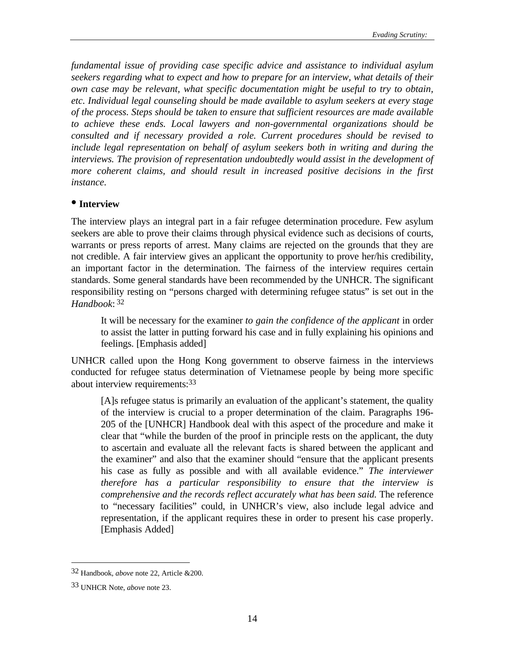*fundamental issue of providing case specific advice and assistance to individual asylum seekers regarding what to expect and how to prepare for an interview, what details of their own case may be relevant, what specific documentation might be useful to try to obtain, etc. Individual legal counseling should be made available to asylum seekers at every stage of the process. Steps should be taken to ensure that sufficient resources are made available to achieve these ends. Local lawyers and non-governmental organizations should be consulted and if necessary provided a role. Current procedures should be revised to include legal representation on behalf of asylum seekers both in writing and during the interviews. The provision of representation undoubtedly would assist in the development of more coherent claims, and should result in increased positive decisions in the first instance.*

#### **• Interview**

The interview plays an integral part in a fair refugee determination procedure. Few asylum seekers are able to prove their claims through physical evidence such as decisions of courts, warrants or press reports of arrest. Many claims are rejected on the grounds that they are not credible. A fair interview gives an applicant the opportunity to prove her/his credibility, an important factor in the determination. The fairness of the interview requires certain standards. Some general standards have been recommended by the UNHCR. The significant responsibility resting on "persons charged with determining refugee status" is set out in the *Handbook*: 32

It will be necessary for the examiner *to gain the confidence of the applicant* in order to assist the latter in putting forward his case and in fully explaining his opinions and feelings. [Emphasis added]

UNHCR called upon the Hong Kong government to observe fairness in the interviews conducted for refugee status determination of Vietnamese people by being more specific about interview requirements:33

[A]s refugee status is primarily an evaluation of the applicant's statement, the quality of the interview is crucial to a proper determination of the claim. Paragraphs 196- 205 of the [UNHCR] Handbook deal with this aspect of the procedure and make it clear that "while the burden of the proof in principle rests on the applicant, the duty to ascertain and evaluate all the relevant facts is shared between the applicant and the examiner" and also that the examiner should "ensure that the applicant presents his case as fully as possible and with all available evidence." *The interviewer therefore has a particular responsibility to ensure that the interview is comprehensive and the records reflect accurately what has been said.* The reference to "necessary facilities" could, in UNHCR's view, also include legal advice and representation, if the applicant requires these in order to present his case properly. [Emphasis Added]

<sup>32</sup> Handbook, *above* note 22, Article &200.

<sup>33</sup> UNHCR Note, *above* note 23.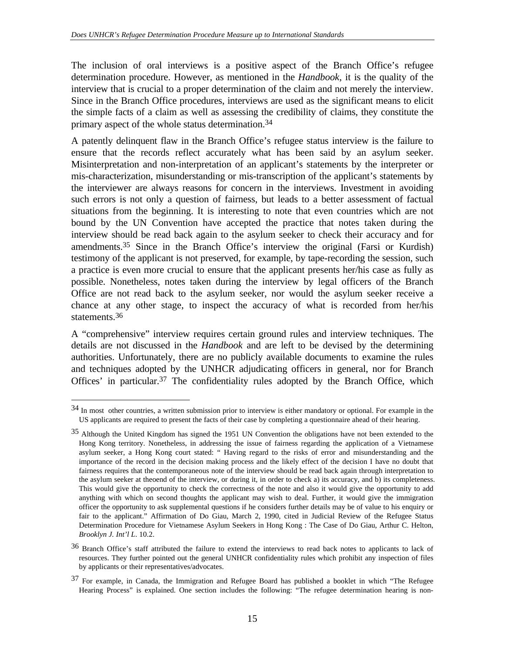The inclusion of oral interviews is a positive aspect of the Branch Office's refugee determination procedure. However, as mentioned in the *Handbook*, it is the quality of the interview that is crucial to a proper determination of the claim and not merely the interview. Since in the Branch Office procedures, interviews are used as the significant means to elicit the simple facts of a claim as well as assessing the credibility of claims, they constitute the primary aspect of the whole status determination.34

A patently delinquent flaw in the Branch Office's refugee status interview is the failure to ensure that the records reflect accurately what has been said by an asylum seeker. Misinterpretation and non-interpretation of an applicant's statements by the interpreter or mis-characterization, misunderstanding or mis-transcription of the applicant's statements by the interviewer are always reasons for concern in the interviews. Investment in avoiding such errors is not only a question of fairness, but leads to a better assessment of factual situations from the beginning. It is interesting to note that even countries which are not bound by the UN Convention have accepted the practice that notes taken during the interview should be read back again to the asylum seeker to check their accuracy and for amendments.35 Since in the Branch Office's interview the original (Farsi or Kurdish) testimony of the applicant is not preserved, for example, by tape-recording the session, such a practice is even more crucial to ensure that the applicant presents her/his case as fully as possible. Nonetheless, notes taken during the interview by legal officers of the Branch Office are not read back to the asylum seeker, nor would the asylum seeker receive a chance at any other stage, to inspect the accuracy of what is recorded from her/his statements.36

A "comprehensive" interview requires certain ground rules and interview techniques. The details are not discussed in the *Handbook* and are left to be devised by the determining authorities. Unfortunately, there are no publicly available documents to examine the rules and techniques adopted by the UNHCR adjudicating officers in general, nor for Branch Offices' in particular.37 The confidentiality rules adopted by the Branch Office, which

<sup>34</sup> In most other countries, a written submission prior to interview is either mandatory or optional. For example in the US applicants are required to present the facts of their case by completing a questionnaire ahead of their hearing.

<sup>&</sup>lt;sup>35</sup> Although the United Kingdom has signed the 1951 UN Convention the obligations have not been extended to the Hong Kong territory. Nonetheless, in addressing the issue of fairness regarding the application of a Vietnamese asylum seeker, a Hong Kong court stated: " Having regard to the risks of error and misunderstanding and the importance of the record in the decision making process and the likely effect of the decision I have no doubt that fairness requires that the contemporaneous note of the interview should be read back again through interpretation to the asylum seeker at theoend of the interview, or during it, in order to check a) its accuracy, and b) its completeness. This would give the opportunity to check the correctness of the note and also it would give the opportunity to add anything with which on second thoughts the applicant may wish to deal. Further, it would give the immigration officer the opportunity to ask supplemental questions if he considers further details may be of value to his enquiry or fair to the applicant." Affirmation of Do Giau, March 2, 1990, cited in Judicial Review of the Refugee Status Determination Procedure for Vietnamese Asylum Seekers in Hong Kong : The Case of Do Giau, Arthur C. Helton, *Brooklyn J. Int'l L*. 10.2.

<sup>36</sup> Branch Office's staff attributed the failure to extend the interviews to read back notes to applicants to lack of resources. They further pointed out the general UNHCR confidentiality rules which prohibit any inspection of files by applicants or their representatives/advocates.

<sup>37</sup> For example, in Canada, the Immigration and Refugee Board has published a booklet in which "The Refugee Hearing Process" is explained. One section includes the following: "The refugee determination hearing is non-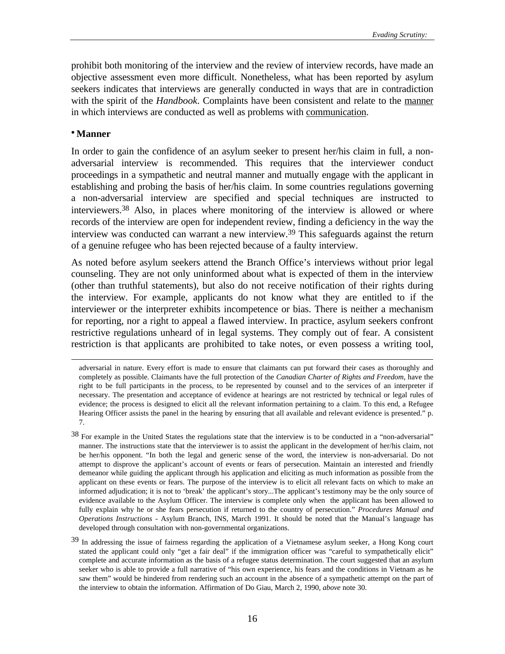prohibit both monitoring of the interview and the review of interview records, have made an objective assessment even more difficult. Nonetheless, what has been reported by asylum seekers indicates that interviews are generally conducted in ways that are in contradiction with the spirit of the *Handbook*. Complaints have been consistent and relate to the manner in which interviews are conducted as well as problems with communication.

#### **• Manner**

j

In order to gain the confidence of an asylum seeker to present her/his claim in full, a nonadversarial interview is recommended. This requires that the interviewer conduct proceedings in a sympathetic and neutral manner and mutually engage with the applicant in establishing and probing the basis of her/his claim. In some countries regulations governing a non-adversarial interview are specified and special techniques are instructed to interviewers.38 Also, in places where monitoring of the interview is allowed or where records of the interview are open for independent review, finding a deficiency in the way the interview was conducted can warrant a new interview.<sup>39</sup> This safeguards against the return of a genuine refugee who has been rejected because of a faulty interview.

As noted before asylum seekers attend the Branch Office's interviews without prior legal counseling. They are not only uninformed about what is expected of them in the interview (other than truthful statements), but also do not receive notification of their rights during the interview. For example, applicants do not know what they are entitled to if the interviewer or the interpreter exhibits incompetence or bias. There is neither a mechanism for reporting, nor a right to appeal a flawed interview. In practice, asylum seekers confront restrictive regulations unheard of in legal systems. They comply out of fear. A consistent restriction is that applicants are prohibited to take notes, or even possess a writing tool,

adversarial in nature. Every effort is made to ensure that claimants can put forward their cases as thoroughly and completely as possible. Claimants have the full protection of the *Canadian Charter of Rights and Freedom*, have the right to be full participants in the process, to be represented by counsel and to the services of an interpreter if necessary. The presentation and acceptance of evidence at hearings are not restricted by technical or legal rules of evidence; the process is designed to elicit all the relevant information pertaining to a claim. To this end, a Refugee Hearing Officer assists the panel in the hearing by ensuring that all available and relevant evidence is presented." p. 7.

<sup>38</sup> For example in the United States the regulations state that the interview is to be conducted in a "non-adversarial" manner. The instructions state that the interviewer is to assist the applicant in the development of her/his claim, not be her/his opponent. "In both the legal and generic sense of the word, the interview is non-adversarial. Do not attempt to disprove the applicant's account of events or fears of persecution. Maintain an interested and friendly demeanor while guiding the applicant through his application and eliciting as much information as possible from the applicant on these events or fears. The purpose of the interview is to elicit all relevant facts on which to make an informed adjudication; it is not to 'break' the applicant's story...The applicant's testimony may be the only source of evidence available to the Asylum Officer. The interview is complete only when the applicant has been allowed to fully explain why he or she fears persecution if returned to the country of persecution." *Procedures Manual and Operations Instructions* - Asylum Branch, INS, March 1991. It should be noted that the Manual's language has developed through consultation with non-governmental organizations.

<sup>&</sup>lt;sup>39</sup> In addressing the issue of fairness regarding the application of a Vietnamese asylum seeker, a Hong Kong court stated the applicant could only "get a fair deal" if the immigration officer was "careful to sympathetically elicit" complete and accurate information as the basis of a refugee status determination. The court suggested that an asylum seeker who is able to provide a full narrative of "his own experience, his fears and the conditions in Vietnam as he saw them" would be hindered from rendering such an account in the absence of a sympathetic attempt on the part of the interview to obtain the information. Affirmation of Do Giau, March 2, 1990, *above* note 30.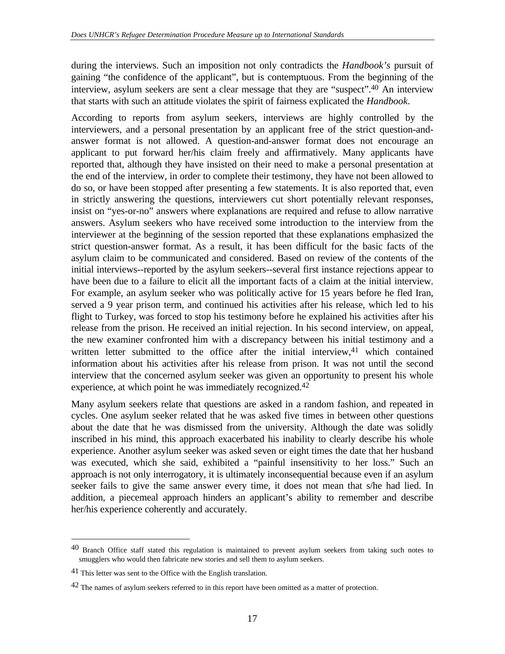during the interviews. Such an imposition not only contradicts the *Handbook's* pursuit of gaining "the confidence of the applicant", but is contemptuous. From the beginning of the interview, asylum seekers are sent a clear message that they are "suspect".40 An interview that starts with such an attitude violates the spirit of fairness explicated the *Handbook*.

According to reports from asylum seekers, interviews are highly controlled by the interviewers, and a personal presentation by an applicant free of the strict question-andanswer format is not allowed. A question-and-answer format does not encourage an applicant to put forward her/his claim freely and affirmatively. Many applicants have reported that, although they have insisted on their need to make a personal presentation at the end of the interview, in order to complete their testimony, they have not been allowed to do so, or have been stopped after presenting a few statements. It is also reported that, even in strictly answering the questions, interviewers cut short potentially relevant responses, insist on "yes-or-no" answers where explanations are required and refuse to allow narrative answers. Asylum seekers who have received some introduction to the interview from the interviewer at the beginning of the session reported that these explanations emphasized the strict question-answer format. As a result, it has been difficult for the basic facts of the asylum claim to be communicated and considered. Based on review of the contents of the initial interviews--reported by the asylum seekers--several first instance rejections appear to have been due to a failure to elicit all the important facts of a claim at the initial interview. For example, an asylum seeker who was politically active for 15 years before he fled Iran, served a 9 year prison term, and continued his activities after his release, which led to his flight to Turkey, was forced to stop his testimony before he explained his activities after his release from the prison. He received an initial rejection. In his second interview, on appeal, the new examiner confronted him with a discrepancy between his initial testimony and a written letter submitted to the office after the initial interview,  $41$  which contained information about his activities after his release from prison. It was not until the second interview that the concerned asylum seeker was given an opportunity to present his whole experience, at which point he was immediately recognized.42

Many asylum seekers relate that questions are asked in a random fashion, and repeated in cycles. One asylum seeker related that he was asked five times in between other questions about the date that he was dismissed from the university. Although the date was solidly inscribed in his mind, this approach exacerbated his inability to clearly describe his whole experience. Another asylum seeker was asked seven or eight times the date that her husband was executed, which she said, exhibited a "painful insensitivity to her loss." Such an approach is not only interrogatory, it is ultimately inconsequential because even if an asylum seeker fails to give the same answer every time, it does not mean that s/he had lied. In addition, a piecemeal approach hinders an applicant's ability to remember and describe her/his experience coherently and accurately.

<sup>40</sup> Branch Office staff stated this regulation is maintained to prevent asylum seekers from taking such notes to smugglers who would then fabricate new stories and sell them to asylum seekers.

<sup>41</sup> This letter was sent to the Office with the English translation.

<sup>42</sup> The names of asylum seekers referred to in this report have been omitted as a matter of protection.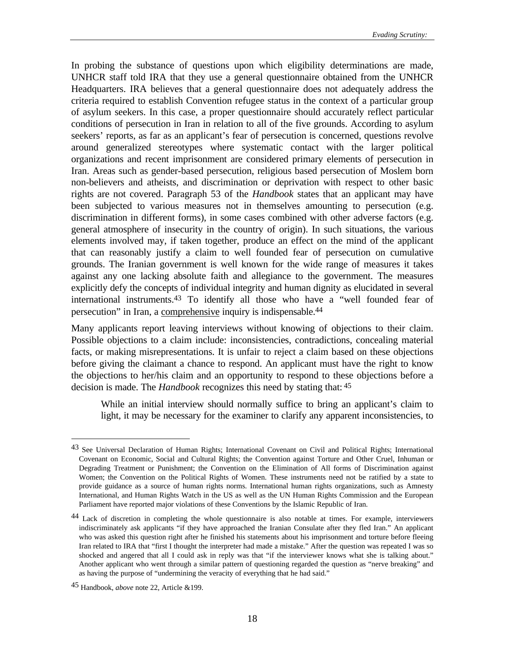In probing the substance of questions upon which eligibility determinations are made, UNHCR staff told IRA that they use a general questionnaire obtained from the UNHCR Headquarters. IRA believes that a general questionnaire does not adequately address the criteria required to establish Convention refugee status in the context of a particular group of asylum seekers. In this case, a proper questionnaire should accurately reflect particular conditions of persecution in Iran in relation to all of the five grounds. According to asylum seekers' reports, as far as an applicant's fear of persecution is concerned, questions revolve around generalized stereotypes where systematic contact with the larger political organizations and recent imprisonment are considered primary elements of persecution in Iran. Areas such as gender-based persecution, religious based persecution of Moslem born non-believers and atheists, and discrimination or deprivation with respect to other basic rights are not covered. Paragraph 53 of the *Handbook* states that an applicant may have been subjected to various measures not in themselves amounting to persecution (e.g. discrimination in different forms), in some cases combined with other adverse factors (e.g. general atmosphere of insecurity in the country of origin). In such situations, the various elements involved may, if taken together, produce an effect on the mind of the applicant that can reasonably justify a claim to well founded fear of persecution on cumulative grounds. The Iranian government is well known for the wide range of measures it takes against any one lacking absolute faith and allegiance to the government. The measures explicitly defy the concepts of individual integrity and human dignity as elucidated in several international instruments.43 To identify all those who have a "well founded fear of persecution" in Iran, a comprehensive inquiry is indispensable.44

Many applicants report leaving interviews without knowing of objections to their claim. Possible objections to a claim include: inconsistencies, contradictions, concealing material facts, or making misrepresentations. It is unfair to reject a claim based on these objections before giving the claimant a chance to respond. An applicant must have the right to know the objections to her/his claim and an opportunity to respond to these objections before a decision is made. The *Handbook* recognizes this need by stating that: 45

While an initial interview should normally suffice to bring an applicant's claim to light, it may be necessary for the examiner to clarify any apparent inconsistencies, to

<sup>43</sup> See Universal Declaration of Human Rights; International Covenant on Civil and Political Rights; International Covenant on Economic, Social and Cultural Rights; the Convention against Torture and Other Cruel, Inhuman or Degrading Treatment or Punishment; the Convention on the Elimination of All forms of Discrimination against Women; the Convention on the Political Rights of Women. These instruments need not be ratified by a state to provide guidance as a source of human rights norms. International human rights organizations, such as Amnesty International, and Human Rights Watch in the US as well as the UN Human Rights Commission and the European Parliament have reported major violations of these Conventions by the Islamic Republic of Iran.

<sup>44</sup> Lack of discretion in completing the whole questionnaire is also notable at times. For example, interviewers indiscriminately ask applicants "if they have approached the Iranian Consulate after they fled Iran." An applicant who was asked this question right after he finished his statements about his imprisonment and torture before fleeing Iran related to IRA that "first I thought the interpreter had made a mistake." After the question was repeated I was so shocked and angered that all I could ask in reply was that "if the interviewer knows what she is talking about." Another applicant who went through a similar pattern of questioning regarded the question as "nerve breaking" and as having the purpose of "undermining the veracity of everything that he had said."

<sup>45</sup> Handbook, *above* note 22, Article &199.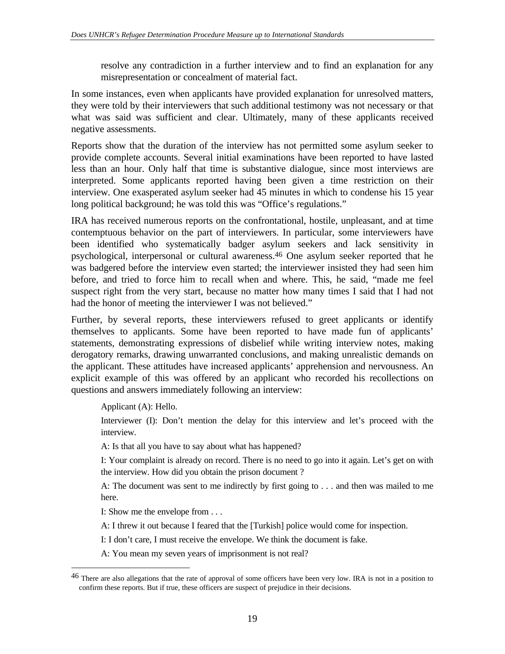resolve any contradiction in a further interview and to find an explanation for any misrepresentation or concealment of material fact.

In some instances, even when applicants have provided explanation for unresolved matters, they were told by their interviewers that such additional testimony was not necessary or that what was said was sufficient and clear. Ultimately, many of these applicants received negative assessments.

Reports show that the duration of the interview has not permitted some asylum seeker to provide complete accounts. Several initial examinations have been reported to have lasted less than an hour. Only half that time is substantive dialogue, since most interviews are interpreted. Some applicants reported having been given a time restriction on their interview. One exasperated asylum seeker had 45 minutes in which to condense his 15 year long political background; he was told this was "Office's regulations."

IRA has received numerous reports on the confrontational, hostile, unpleasant, and at time contemptuous behavior on the part of interviewers. In particular, some interviewers have been identified who systematically badger asylum seekers and lack sensitivity in psychological, interpersonal or cultural awareness.46 One asylum seeker reported that he was badgered before the interview even started; the interviewer insisted they had seen him before, and tried to force him to recall when and where. This, he said, "made me feel suspect right from the very start, because no matter how many times I said that I had not had the honor of meeting the interviewer I was not believed."

Further, by several reports, these interviewers refused to greet applicants or identify themselves to applicants. Some have been reported to have made fun of applicants' statements, demonstrating expressions of disbelief while writing interview notes, making derogatory remarks, drawing unwarranted conclusions, and making unrealistic demands on the applicant. These attitudes have increased applicants' apprehension and nervousness. An explicit example of this was offered by an applicant who recorded his recollections on questions and answers immediately following an interview:

Applicant (A): Hello.

j

Interviewer (I): Don't mention the delay for this interview and let's proceed with the interview.

A: Is that all you have to say about what has happened?

I: Your complaint is already on record. There is no need to go into it again. Let's get on with the interview. How did you obtain the prison document ?

A: The document was sent to me indirectly by first going to . . . and then was mailed to me here.

I: Show me the envelope from . . .

A: I threw it out because I feared that the [Turkish] police would come for inspection.

I: I don't care, I must receive the envelope. We think the document is fake.

A: You mean my seven years of imprisonment is not real?

<sup>46</sup> There are also allegations that the rate of approval of some officers have been very low. IRA is not in a position to confirm these reports. But if true, these officers are suspect of prejudice in their decisions.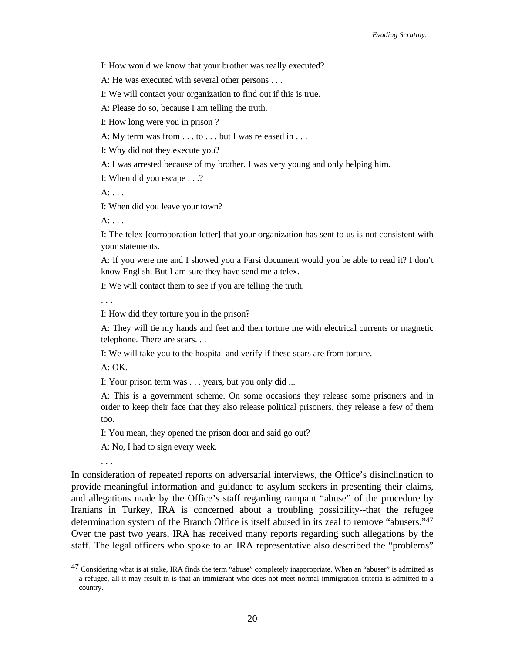I: How would we know that your brother was really executed?

A: He was executed with several other persons . . .

I: We will contact your organization to find out if this is true.

A: Please do so, because I am telling the truth.

I: How long were you in prison ?

A: My term was from . . . to . . . but I was released in . . .

I: Why did not they execute you?

A: I was arrested because of my brother. I was very young and only helping him.

I: When did you escape . . .?

A: . . .

I: When did you leave your town?

 $A:$  ...

I: The telex [corroboration letter] that your organization has sent to us is not consistent with your statements.

A: If you were me and I showed you a Farsi document would you be able to read it? I don't know English. But I am sure they have send me a telex.

I: We will contact them to see if you are telling the truth.

. . .

I: How did they torture you in the prison?

A: They will tie my hands and feet and then torture me with electrical currents or magnetic telephone. There are scars. . .

I: We will take you to the hospital and verify if these scars are from torture.

A: OK.

. . .

 $\overline{a}$ 

I: Your prison term was . . . years, but you only did ...

A: This is a government scheme. On some occasions they release some prisoners and in order to keep their face that they also release political prisoners, they release a few of them too.

I: You mean, they opened the prison door and said go out?

A: No, I had to sign every week.

In consideration of repeated reports on adversarial interviews, the Office's disinclination to provide meaningful information and guidance to asylum seekers in presenting their claims, and allegations made by the Office's staff regarding rampant "abuse" of the procedure by Iranians in Turkey, IRA is concerned about a troubling possibility--that the refugee determination system of the Branch Office is itself abused in its zeal to remove "abusers."47 Over the past two years, IRA has received many reports regarding such allegations by the staff. The legal officers who spoke to an IRA representative also described the "problems"

<sup>47</sup> Considering what is at stake, IRA finds the term "abuse" completely inappropriate. When an "abuser" is admitted as a refugee, all it may result in is that an immigrant who does not meet normal immigration criteria is admitted to a country.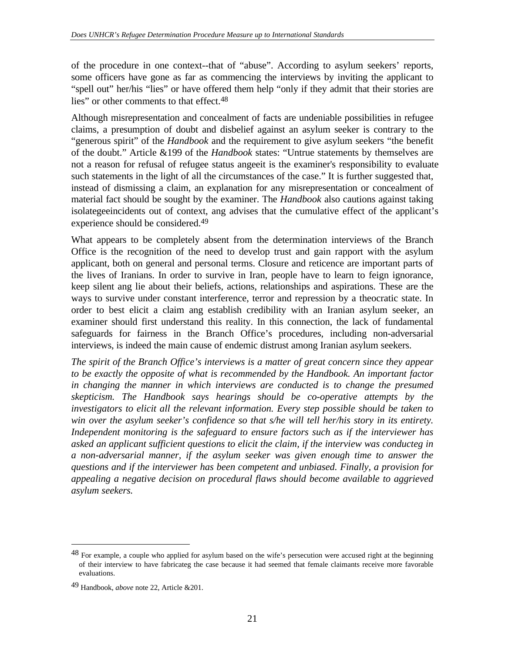of the procedure in one context--that of "abuse". According to asylum seekers' reports, some officers have gone as far as commencing the interviews by inviting the applicant to "spell out" her/his "lies" or have offered them help "only if they admit that their stories are lies" or other comments to that effect.<sup>48</sup>

Although misrepresentation and concealment of facts are undeniable possibilities in refugee claims, a presumption of doubt and disbelief against an asylum seeker is contrary to the "generous spirit" of the *Handbook* and the requirement to give asylum seekers "the benefit of the doubt." Article &199 of the *Handbook* states: "Untrue statements by themselves are not a reason for refusal of refugee status angeeit is the examiner's responsibility to evaluate such statements in the light of all the circumstances of the case." It is further suggested that, instead of dismissing a claim, an explanation for any misrepresentation or concealment of material fact should be sought by the examiner. The *Handbook* also cautions against taking isolategeeincidents out of context, ang advises that the cumulative effect of the applicant's experience should be considered.49

What appears to be completely absent from the determination interviews of the Branch Office is the recognition of the need to develop trust and gain rapport with the asylum applicant, both on general and personal terms. Closure and reticence are important parts of the lives of Iranians. In order to survive in Iran, people have to learn to feign ignorance, keep silent ang lie about their beliefs, actions, relationships and aspirations. These are the ways to survive under constant interference, terror and repression by a theocratic state. In order to best elicit a claim ang establish credibility with an Iranian asylum seeker, an examiner should first understand this reality. In this connection, the lack of fundamental safeguards for fairness in the Branch Office's procedures, including non-adversarial interviews, is indeed the main cause of endemic distrust among Iranian asylum seekers.

*The spirit of the Branch Office's interviews is a matter of great concern since they appear to be exactly the opposite of what is recommended by the Handbook. An important factor in changing the manner in which interviews are conducted is to change the presumed skepticism. The Handbook says hearings should be co-operative attempts by the investigators to elicit all the relevant information. Every step possible should be taken to win over the asylum seeker's confidence so that s/he will tell her/his story in its entirety. Independent monitoring is the safeguard to ensure factors such as if the interviewer has asked an applicant sufficient questions to elicit the claim, if the interview was conducteg in a non-adversarial manner, if the asylum seeker was given enough time to answer the questions and if the interviewer has been competent and unbiased. Finally, a provision for appealing a negative decision on procedural flaws should become available to aggrieved asylum seekers.*

<sup>48</sup> For example, a couple who applied for asylum based on the wife's persecution were accused right at the beginning of their interview to have fabricateg the case because it had seemed that female claimants receive more favorable evaluations.

<sup>49</sup> Handbook, *above* note 22, Article &201.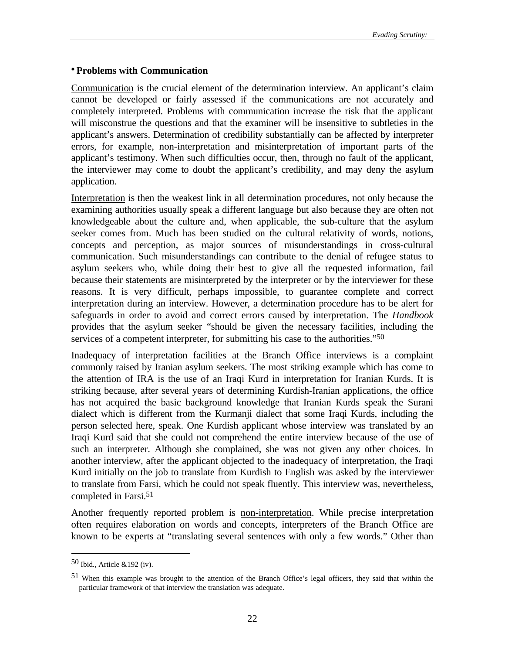#### **• Problems with Communication**

Communication is the crucial element of the determination interview. An applicant's claim cannot be developed or fairly assessed if the communications are not accurately and completely interpreted. Problems with communication increase the risk that the applicant will misconstrue the questions and that the examiner will be insensitive to subtleties in the applicant's answers. Determination of credibility substantially can be affected by interpreter errors, for example, non-interpretation and misinterpretation of important parts of the applicant's testimony. When such difficulties occur, then, through no fault of the applicant, the interviewer may come to doubt the applicant's credibility, and may deny the asylum application.

Interpretation is then the weakest link in all determination procedures, not only because the examining authorities usually speak a different language but also because they are often not knowledgeable about the culture and, when applicable, the sub-culture that the asylum seeker comes from. Much has been studied on the cultural relativity of words, notions, concepts and perception, as major sources of misunderstandings in cross-cultural communication. Such misunderstandings can contribute to the denial of refugee status to asylum seekers who, while doing their best to give all the requested information, fail because their statements are misinterpreted by the interpreter or by the interviewer for these reasons. It is very difficult, perhaps impossible, to guarantee complete and correct interpretation during an interview. However, a determination procedure has to be alert for safeguards in order to avoid and correct errors caused by interpretation. The *Handbook* provides that the asylum seeker "should be given the necessary facilities, including the services of a competent interpreter, for submitting his case to the authorities."<sup>50</sup>

Inadequacy of interpretation facilities at the Branch Office interviews is a complaint commonly raised by Iranian asylum seekers. The most striking example which has come to the attention of IRA is the use of an Iraqi Kurd in interpretation for Iranian Kurds. It is striking because, after several years of determining Kurdish-Iranian applications, the office has not acquired the basic background knowledge that Iranian Kurds speak the Surani dialect which is different from the Kurmanji dialect that some Iraqi Kurds, including the person selected here, speak. One Kurdish applicant whose interview was translated by an Iraqi Kurd said that she could not comprehend the entire interview because of the use of such an interpreter. Although she complained, she was not given any other choices. In another interview, after the applicant objected to the inadequacy of interpretation, the Iraqi Kurd initially on the job to translate from Kurdish to English was asked by the interviewer to translate from Farsi, which he could not speak fluently. This interview was, nevertheless, completed in Farsi.51

Another frequently reported problem is non-interpretation. While precise interpretation often requires elaboration on words and concepts, interpreters of the Branch Office are known to be experts at "translating several sentences with only a few words." Other than

<sup>50</sup> Ibid., Article &192 (iv).

<sup>51</sup> When this example was brought to the attention of the Branch Office's legal officers, they said that within the particular framework of that interview the translation was adequate.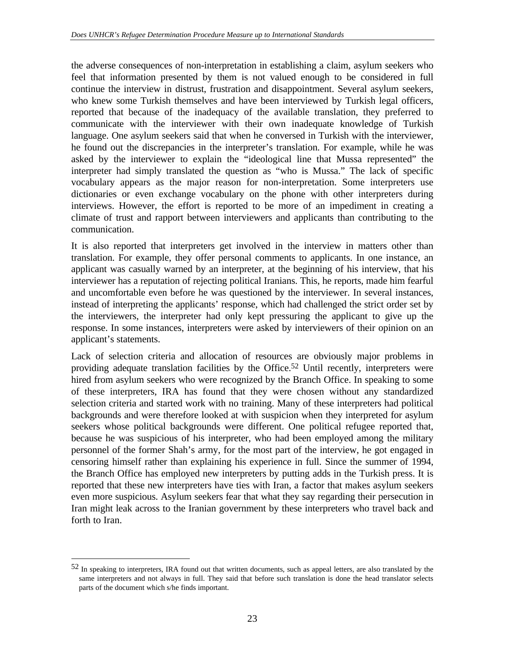the adverse consequences of non-interpretation in establishing a claim, asylum seekers who feel that information presented by them is not valued enough to be considered in full continue the interview in distrust, frustration and disappointment. Several asylum seekers, who knew some Turkish themselves and have been interviewed by Turkish legal officers, reported that because of the inadequacy of the available translation, they preferred to communicate with the interviewer with their own inadequate knowledge of Turkish language. One asylum seekers said that when he conversed in Turkish with the interviewer, he found out the discrepancies in the interpreter's translation. For example, while he was asked by the interviewer to explain the "ideological line that Mussa represented" the interpreter had simply translated the question as "who is Mussa." The lack of specific vocabulary appears as the major reason for non-interpretation. Some interpreters use dictionaries or even exchange vocabulary on the phone with other interpreters during interviews. However, the effort is reported to be more of an impediment in creating a climate of trust and rapport between interviewers and applicants than contributing to the communication.

It is also reported that interpreters get involved in the interview in matters other than translation. For example, they offer personal comments to applicants. In one instance, an applicant was casually warned by an interpreter, at the beginning of his interview, that his interviewer has a reputation of rejecting political Iranians. This, he reports, made him fearful and uncomfortable even before he was questioned by the interviewer. In several instances, instead of interpreting the applicants' response, which had challenged the strict order set by the interviewers, the interpreter had only kept pressuring the applicant to give up the response. In some instances, interpreters were asked by interviewers of their opinion on an applicant's statements.

Lack of selection criteria and allocation of resources are obviously major problems in providing adequate translation facilities by the Office.52 Until recently, interpreters were hired from asylum seekers who were recognized by the Branch Office. In speaking to some of these interpreters, IRA has found that they were chosen without any standardized selection criteria and started work with no training. Many of these interpreters had political backgrounds and were therefore looked at with suspicion when they interpreted for asylum seekers whose political backgrounds were different. One political refugee reported that, because he was suspicious of his interpreter, who had been employed among the military personnel of the former Shah's army, for the most part of the interview, he got engaged in censoring himself rather than explaining his experience in full. Since the summer of 1994, the Branch Office has employed new interpreters by putting adds in the Turkish press. It is reported that these new interpreters have ties with Iran, a factor that makes asylum seekers even more suspicious. Asylum seekers fear that what they say regarding their persecution in Iran might leak across to the Iranian government by these interpreters who travel back and forth to Iran.

<sup>52</sup> In speaking to interpreters, IRA found out that written documents, such as appeal letters, are also translated by the same interpreters and not always in full. They said that before such translation is done the head translator selects parts of the document which s/he finds important.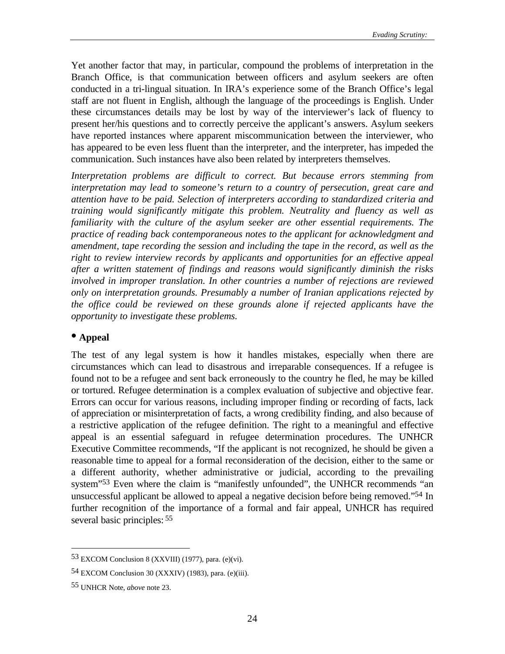Yet another factor that may, in particular, compound the problems of interpretation in the Branch Office, is that communication between officers and asylum seekers are often conducted in a tri-lingual situation. In IRA's experience some of the Branch Office's legal staff are not fluent in English, although the language of the proceedings is English. Under these circumstances details may be lost by way of the interviewer's lack of fluency to present her/his questions and to correctly perceive the applicant's answers. Asylum seekers have reported instances where apparent miscommunication between the interviewer, who has appeared to be even less fluent than the interpreter, and the interpreter, has impeded the communication. Such instances have also been related by interpreters themselves.

*Interpretation problems are difficult to correct. But because errors stemming from interpretation may lead to someone's return to a country of persecution, great care and attention have to be paid. Selection of interpreters according to standardized criteria and training would significantly mitigate this problem. Neutrality and fluency as well as familiarity with the culture of the asylum seeker are other essential requirements. The practice of reading back contemporaneous notes to the applicant for acknowledgment and amendment, tape recording the session and including the tape in the record, as well as the right to review interview records by applicants and opportunities for an effective appeal after a written statement of findings and reasons would significantly diminish the risks involved in improper translation. In other countries a number of rejections are reviewed only on interpretation grounds. Presumably a number of Iranian applications rejected by the office could be reviewed on these grounds alone if rejected applicants have the opportunity to investigate these problems.*

#### **• Appeal**

The test of any legal system is how it handles mistakes, especially when there are circumstances which can lead to disastrous and irreparable consequences. If a refugee is found not to be a refugee and sent back erroneously to the country he fled, he may be killed or tortured. Refugee determination is a complex evaluation of subjective and objective fear. Errors can occur for various reasons, including improper finding or recording of facts, lack of appreciation or misinterpretation of facts, a wrong credibility finding, and also because of a restrictive application of the refugee definition. The right to a meaningful and effective appeal is an essential safeguard in refugee determination procedures. The UNHCR Executive Committee recommends, "If the applicant is not recognized, he should be given a reasonable time to appeal for a formal reconsideration of the decision, either to the same or a different authority, whether administrative or judicial, according to the prevailing system"<sup>53</sup> Even where the claim is "manifestly unfounded", the UNHCR recommends "an unsuccessful applicant be allowed to appeal a negative decision before being removed."54 In further recognition of the importance of a formal and fair appeal, UNHCR has required several basic principles: 55

<sup>53</sup> EXCOM Conclusion 8 (XXVIII) (1977), para. (e)(vi).

<sup>54</sup> EXCOM Conclusion 30 (XXXIV) (1983), para. (e)(iii).

<sup>55</sup> UNHCR Note, *above* note 23.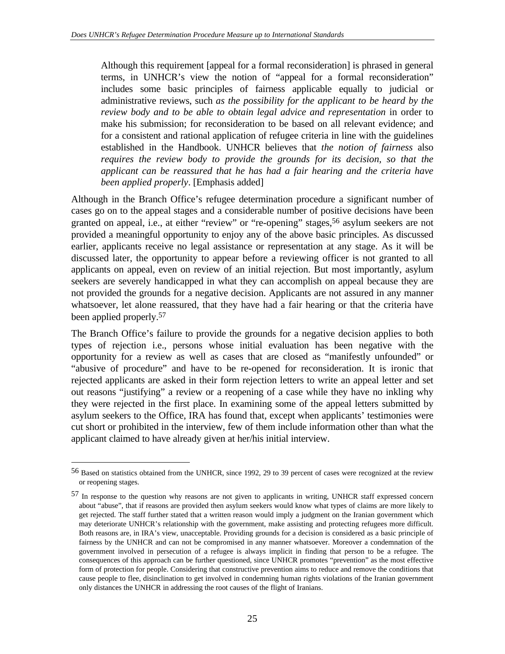Although this requirement [appeal for a formal reconsideration] is phrased in general terms, in UNHCR's view the notion of "appeal for a formal reconsideration" includes some basic principles of fairness applicable equally to judicial or administrative reviews, such *as the possibility for the applicant to be heard by the review body and to be able to obtain legal advice and representation* in order to make his submission; for reconsideration to be based on all relevant evidence; and for a consistent and rational application of refugee criteria in line with the guidelines established in the Handbook. UNHCR believes that *the notion of fairness* also *requires the review body to provide the grounds for its decision, so that the applicant can be reassured that he has had a fair hearing and the criteria have been applied properly*. [Emphasis added]

Although in the Branch Office's refugee determination procedure a significant number of cases go on to the appeal stages and a considerable number of positive decisions have been granted on appeal, i.e., at either "review" or "re-opening" stages,<sup>56</sup> asylum seekers are not provided a meaningful opportunity to enjoy any of the above basic principles. As discussed earlier, applicants receive no legal assistance or representation at any stage. As it will be discussed later, the opportunity to appear before a reviewing officer is not granted to all applicants on appeal, even on review of an initial rejection. But most importantly, asylum seekers are severely handicapped in what they can accomplish on appeal because they are not provided the grounds for a negative decision. Applicants are not assured in any manner whatsoever, let alone reassured, that they have had a fair hearing or that the criteria have been applied properly.57

The Branch Office's failure to provide the grounds for a negative decision applies to both types of rejection i.e., persons whose initial evaluation has been negative with the opportunity for a review as well as cases that are closed as "manifestly unfounded" or "abusive of procedure" and have to be re-opened for reconsideration. It is ironic that rejected applicants are asked in their form rejection letters to write an appeal letter and set out reasons "justifying" a review or a reopening of a case while they have no inkling why they were rejected in the first place. In examining some of the appeal letters submitted by asylum seekers to the Office, IRA has found that, except when applicants' testimonies were cut short or prohibited in the interview, few of them include information other than what the applicant claimed to have already given at her/his initial interview.

<sup>56</sup> Based on statistics obtained from the UNHCR, since 1992, 29 to 39 percent of cases were recognized at the review or reopening stages.

<sup>57</sup> In response to the question why reasons are not given to applicants in writing, UNHCR staff expressed concern about "abuse", that if reasons are provided then asylum seekers would know what types of claims are more likely to get rejected. The staff further stated that a written reason would imply a judgment on the Iranian government which may deteriorate UNHCR's relationship with the government, make assisting and protecting refugees more difficult. Both reasons are, in IRA's view, unacceptable. Providing grounds for a decision is considered as a basic principle of fairness by the UNHCR and can not be compromised in any manner whatsoever. Moreover a condemnation of the government involved in persecution of a refugee is always implicit in finding that person to be a refugee. The consequences of this approach can be further questioned, since UNHCR promotes "prevention" as the most effective form of protection for people. Considering that constructive prevention aims to reduce and remove the conditions that cause people to flee, disinclination to get involved in condemning human rights violations of the Iranian government only distances the UNHCR in addressing the root causes of the flight of Iranians.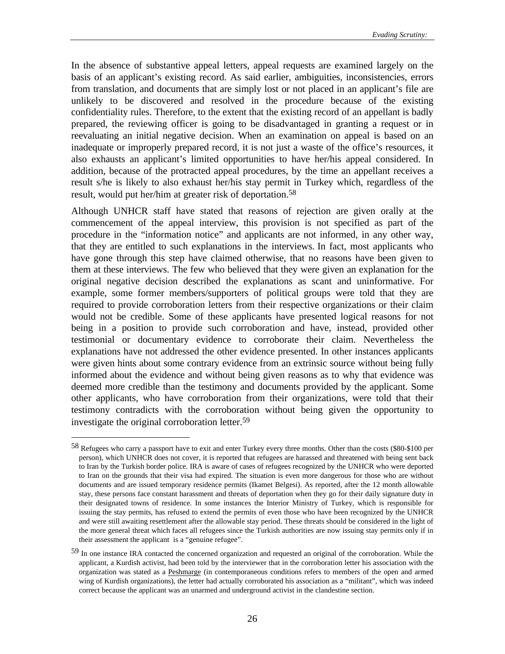In the absence of substantive appeal letters, appeal requests are examined largely on the basis of an applicant's existing record. As said earlier, ambiguities, inconsistencies, errors from translation, and documents that are simply lost or not placed in an applicant's file are unlikely to be discovered and resolved in the procedure because of the existing confidentiality rules. Therefore, to the extent that the existing record of an appellant is badly prepared, the reviewing officer is going to be disadvantaged in granting a request or in reevaluating an initial negative decision. When an examination on appeal is based on an inadequate or improperly prepared record, it is not just a waste of the office's resources, it also exhausts an applicant's limited opportunities to have her/his appeal considered. In addition, because of the protracted appeal procedures, by the time an appellant receives a result s/he is likely to also exhaust her/his stay permit in Turkey which, regardless of the result, would put her/him at greater risk of deportation.<sup>58</sup>

Although UNHCR staff have stated that reasons of rejection are given orally at the commencement of the appeal interview, this provision is not specified as part of the procedure in the "information notice" and applicants are not informed, in any other way, that they are entitled to such explanations in the interviews. In fact, most applicants who have gone through this step have claimed otherwise, that no reasons have been given to them at these interviews. The few who believed that they were given an explanation for the original negative decision described the explanations as scant and uninformative. For example, some former members/supporters of political groups were told that they are required to provide corroboration letters from their respective organizations or their claim would not be credible. Some of these applicants have presented logical reasons for not being in a position to provide such corroboration and have, instead, provided other testimonial or documentary evidence to corroborate their claim. Nevertheless the explanations have not addressed the other evidence presented. In other instances applicants were given hints about some contrary evidence from an extrinsic source without being fully informed about the evidence and without being given reasons as to why that evidence was deemed more credible than the testimony and documents provided by the applicant. Some other applicants, who have corroboration from their organizations, were told that their testimony contradicts with the corroboration without being given the opportunity to investigate the original corroboration letter.59

<sup>58</sup> Refugees who carry a passport have to exit and enter Turkey every three months. Other than the costs (\$80-\$100 per person), which UNHCR does not cover, it is reported that refugees are harassed and threatened with being sent back to Iran by the Turkish border police. IRA is aware of cases of refugees recognized by the UNHCR who were deported to Iran on the grounds that their visa had expired. The situation is even more dangerous for those who are without documents and are issued temporary residence permits (Ikamet Belgesi). As reported, after the 12 month allowable stay, these persons face constant harassment and threats of deportation when they go for their daily signature duty in their designated towns of residence. In some instances the Interior Ministry of Turkey, which is responsible for issuing the stay permits, has refused to extend the permits of even those who have been recognized by the UNHCR and were still awaiting resettlement after the allowable stay period. These threats should be considered in the light of the more general threat which faces all refugees since the Turkish authorities are now issuing stay permits only if in their assessment the applicant is a "genuine refugee".

<sup>59</sup> In one instance IRA contacted the concerned organization and requested an original of the corroboration. While the applicant, a Kurdish activist, had been told by the interviewer that in the corroboration letter his association with the organization was stated as a Peshmarge (in contemporaneous conditions refers to members of the open and armed wing of Kurdish organizations), the letter had actually corroborated his association as a "militant", which was indeed correct because the applicant was an unarmed and underground activist in the clandestine section.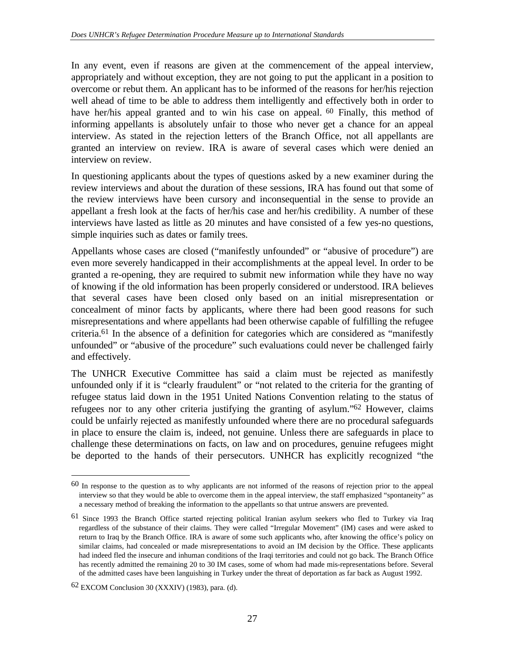In any event, even if reasons are given at the commencement of the appeal interview, appropriately and without exception, they are not going to put the applicant in a position to overcome or rebut them. An applicant has to be informed of the reasons for her/his rejection well ahead of time to be able to address them intelligently and effectively both in order to have her/his appeal granted and to win his case on appeal. <sup>60</sup> Finally, this method of informing appellants is absolutely unfair to those who never get a chance for an appeal interview. As stated in the rejection letters of the Branch Office, not all appellants are granted an interview on review. IRA is aware of several cases which were denied an interview on review.

In questioning applicants about the types of questions asked by a new examiner during the review interviews and about the duration of these sessions, IRA has found out that some of the review interviews have been cursory and inconsequential in the sense to provide an appellant a fresh look at the facts of her/his case and her/his credibility. A number of these interviews have lasted as little as 20 minutes and have consisted of a few yes-no questions, simple inquiries such as dates or family trees.

Appellants whose cases are closed ("manifestly unfounded" or "abusive of procedure") are even more severely handicapped in their accomplishments at the appeal level. In order to be granted a re-opening, they are required to submit new information while they have no way of knowing if the old information has been properly considered or understood. IRA believes that several cases have been closed only based on an initial misrepresentation or concealment of minor facts by applicants, where there had been good reasons for such misrepresentations and where appellants had been otherwise capable of fulfilling the refugee criteria.61 In the absence of a definition for categories which are considered as "manifestly unfounded" or "abusive of the procedure" such evaluations could never be challenged fairly and effectively.

The UNHCR Executive Committee has said a claim must be rejected as manifestly unfounded only if it is "clearly fraudulent" or "not related to the criteria for the granting of refugee status laid down in the 1951 United Nations Convention relating to the status of refugees nor to any other criteria justifying the granting of asylum."62 However, claims could be unfairly rejected as manifestly unfounded where there are no procedural safeguards in place to ensure the claim is, indeed, not genuine. Unless there are safeguards in place to challenge these determinations on facts, on law and on procedures, genuine refugees might be deported to the hands of their persecutors. UNHCR has explicitly recognized "the

<sup>60</sup> In response to the question as to why applicants are not informed of the reasons of rejection prior to the appeal interview so that they would be able to overcome them in the appeal interview, the staff emphasized "spontaneity" as a necessary method of breaking the information to the appellants so that untrue answers are prevented.

<sup>61</sup> Since 1993 the Branch Office started rejecting political Iranian asylum seekers who fled to Turkey via Iraq regardless of the substance of their claims. They were called "Irregular Movement" (IM) cases and were asked to return to Iraq by the Branch Office. IRA is aware of some such applicants who, after knowing the office's policy on similar claims, had concealed or made misrepresentations to avoid an IM decision by the Office. These applicants had indeed fled the insecure and inhuman conditions of the Iraqi territories and could not go back. The Branch Office has recently admitted the remaining 20 to 30 IM cases, some of whom had made mis-representations before. Several of the admitted cases have been languishing in Turkey under the threat of deportation as far back as August 1992.

<sup>62</sup> EXCOM Conclusion 30 (XXXIV) (1983), para. (d).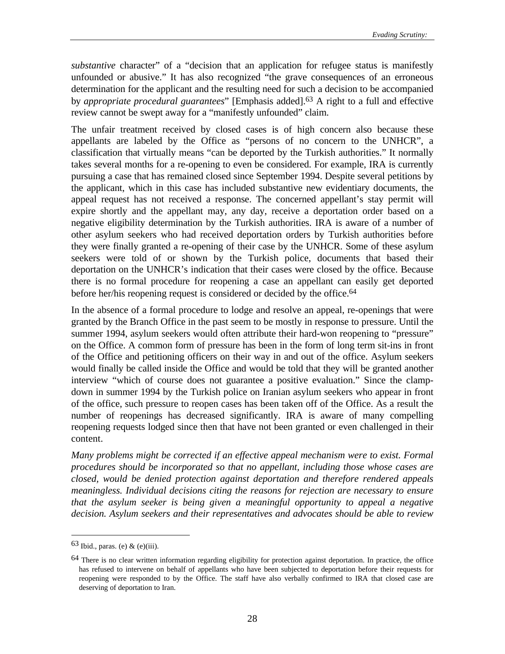*substantive* character" of a "decision that an application for refugee status is manifestly unfounded or abusive." It has also recognized "the grave consequences of an erroneous determination for the applicant and the resulting need for such a decision to be accompanied by *appropriate procedural guarantees*" [Emphasis added].63 A right to a full and effective review cannot be swept away for a "manifestly unfounded" claim.

The unfair treatment received by closed cases is of high concern also because these appellants are labeled by the Office as "persons of no concern to the UNHCR", a classification that virtually means "can be deported by the Turkish authorities." It normally takes several months for a re-opening to even be considered. For example, IRA is currently pursuing a case that has remained closed since September 1994. Despite several petitions by the applicant, which in this case has included substantive new evidentiary documents, the appeal request has not received a response. The concerned appellant's stay permit will expire shortly and the appellant may, any day, receive a deportation order based on a negative eligibility determination by the Turkish authorities. IRA is aware of a number of other asylum seekers who had received deportation orders by Turkish authorities before they were finally granted a re-opening of their case by the UNHCR. Some of these asylum seekers were told of or shown by the Turkish police, documents that based their deportation on the UNHCR's indication that their cases were closed by the office. Because there is no formal procedure for reopening a case an appellant can easily get deported before her/his reopening request is considered or decided by the office.<sup>64</sup>

In the absence of a formal procedure to lodge and resolve an appeal, re-openings that were granted by the Branch Office in the past seem to be mostly in response to pressure. Until the summer 1994, asylum seekers would often attribute their hard-won reopening to "pressure" on the Office. A common form of pressure has been in the form of long term sit-ins in front of the Office and petitioning officers on their way in and out of the office. Asylum seekers would finally be called inside the Office and would be told that they will be granted another interview "which of course does not guarantee a positive evaluation." Since the clampdown in summer 1994 by the Turkish police on Iranian asylum seekers who appear in front of the office, such pressure to reopen cases has been taken off of the Office. As a result the number of reopenings has decreased significantly. IRA is aware of many compelling reopening requests lodged since then that have not been granted or even challenged in their content.

*Many problems might be corrected if an effective appeal mechanism were to exist. Formal procedures should be incorporated so that no appellant, including those whose cases are closed, would be denied protection against deportation and therefore rendered appeals meaningless. Individual decisions citing the reasons for rejection are necessary to ensure that the asylum seeker is being given a meaningful opportunity to appeal a negative decision. Asylum seekers and their representatives and advocates should be able to review*

 $63$  Ibid., paras. (e) & (e)(iii).

<sup>&</sup>lt;sup>64</sup> There is no clear written information regarding eligibility for protection against deportation. In practice, the office has refused to intervene on behalf of appellants who have been subjected to deportation before their requests for reopening were responded to by the Office. The staff have also verbally confirmed to IRA that closed case are deserving of deportation to Iran.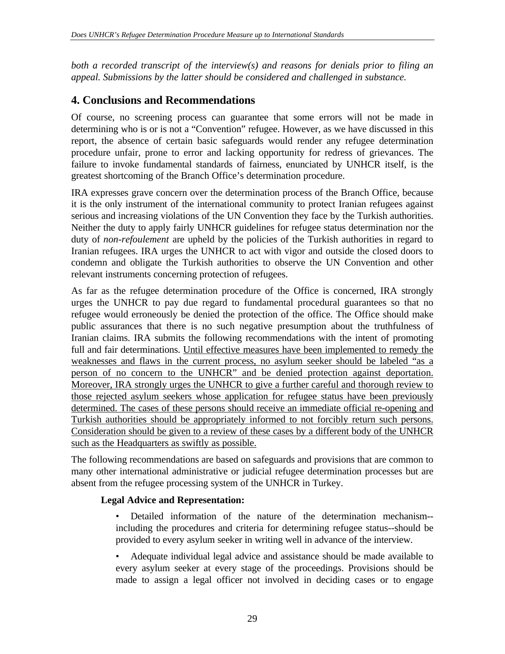*both a recorded transcript of the interview(s) and reasons for denials prior to filing an appeal. Submissions by the latter should be considered and challenged in substance.*

# **4. Conclusions and Recommendations**

Of course, no screening process can guarantee that some errors will not be made in determining who is or is not a "Convention" refugee. However, as we have discussed in this report, the absence of certain basic safeguards would render any refugee determination procedure unfair, prone to error and lacking opportunity for redress of grievances. The failure to invoke fundamental standards of fairness, enunciated by UNHCR itself, is the greatest shortcoming of the Branch Office's determination procedure.

IRA expresses grave concern over the determination process of the Branch Office, because it is the only instrument of the international community to protect Iranian refugees against serious and increasing violations of the UN Convention they face by the Turkish authorities. Neither the duty to apply fairly UNHCR guidelines for refugee status determination nor the duty of *non-refoulement* are upheld by the policies of the Turkish authorities in regard to Iranian refugees. IRA urges the UNHCR to act with vigor and outside the closed doors to condemn and obligate the Turkish authorities to observe the UN Convention and other relevant instruments concerning protection of refugees.

As far as the refugee determination procedure of the Office is concerned, IRA strongly urges the UNHCR to pay due regard to fundamental procedural guarantees so that no refugee would erroneously be denied the protection of the office. The Office should make public assurances that there is no such negative presumption about the truthfulness of Iranian claims. IRA submits the following recommendations with the intent of promoting full and fair determinations. Until effective measures have been implemented to remedy the weaknesses and flaws in the current process, no asylum seeker should be labeled "as a person of no concern to the UNHCR" and be denied protection against deportation. Moreover, IRA strongly urges the UNHCR to give a further careful and thorough review to those rejected asylum seekers whose application for refugee status have been previously determined. The cases of these persons should receive an immediate official re-opening and Turkish authorities should be appropriately informed to not forcibly return such persons. Consideration should be given to a review of these cases by a different body of the UNHCR such as the Headquarters as swiftly as possible.

The following recommendations are based on safeguards and provisions that are common to many other international administrative or judicial refugee determination processes but are absent from the refugee processing system of the UNHCR in Turkey.

## **Legal Advice and Representation:**

• Detailed information of the nature of the determination mechanism- including the procedures and criteria for determining refugee status--should be provided to every asylum seeker in writing well in advance of the interview.

• Adequate individual legal advice and assistance should be made available to every asylum seeker at every stage of the proceedings. Provisions should be made to assign a legal officer not involved in deciding cases or to engage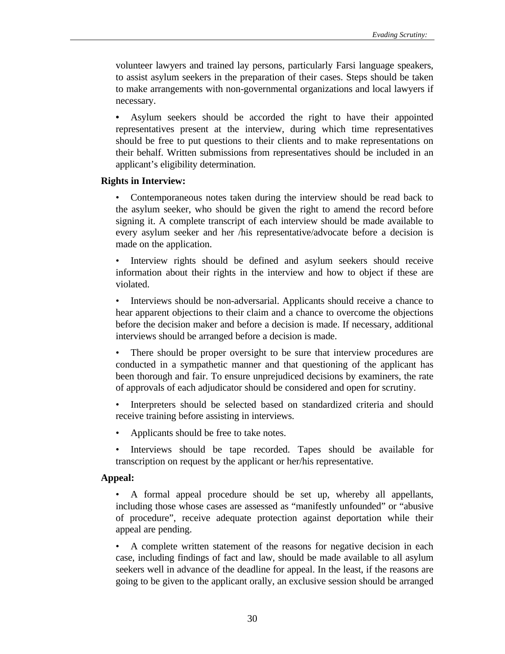volunteer lawyers and trained lay persons, particularly Farsi language speakers, to assist asylum seekers in the preparation of their cases. Steps should be taken to make arrangements with non-governmental organizations and local lawyers if necessary.

**•** Asylum seekers should be accorded the right to have their appointed representatives present at the interview, during which time representatives should be free to put questions to their clients and to make representations on their behalf. Written submissions from representatives should be included in an applicant's eligibility determination.

#### **Rights in Interview:**

• Contemporaneous notes taken during the interview should be read back to the asylum seeker, who should be given the right to amend the record before signing it. A complete transcript of each interview should be made available to every asylum seeker and her /his representative/advocate before a decision is made on the application.

• Interview rights should be defined and asylum seekers should receive information about their rights in the interview and how to object if these are violated.

• Interviews should be non-adversarial. Applicants should receive a chance to hear apparent objections to their claim and a chance to overcome the objections before the decision maker and before a decision is made. If necessary, additional interviews should be arranged before a decision is made.

There should be proper oversight to be sure that interview procedures are conducted in a sympathetic manner and that questioning of the applicant has been thorough and fair. To ensure unprejudiced decisions by examiners, the rate of approvals of each adjudicator should be considered and open for scrutiny.

Interpreters should be selected based on standardized criteria and should receive training before assisting in interviews.

- Applicants should be free to take notes.
- Interviews should be tape recorded. Tapes should be available for transcription on request by the applicant or her/his representative.

#### **Appeal:**

• A formal appeal procedure should be set up, whereby all appellants, including those whose cases are assessed as "manifestly unfounded" or "abusive of procedure", receive adequate protection against deportation while their appeal are pending.

• A complete written statement of the reasons for negative decision in each case, including findings of fact and law, should be made available to all asylum seekers well in advance of the deadline for appeal. In the least, if the reasons are going to be given to the applicant orally, an exclusive session should be arranged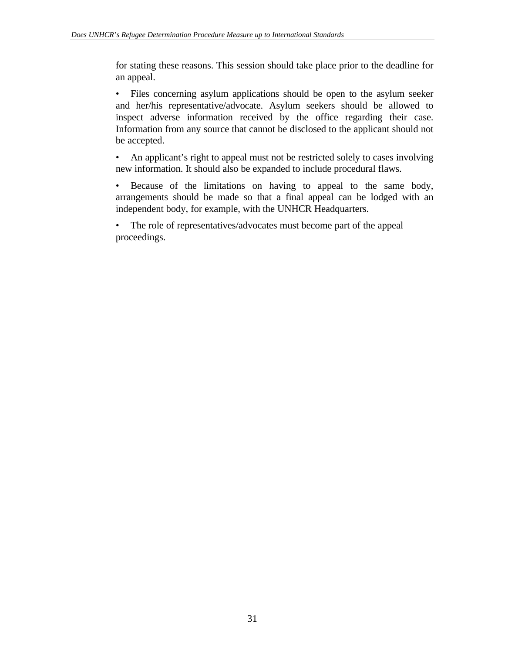for stating these reasons. This session should take place prior to the deadline for an appeal.

• Files concerning asylum applications should be open to the asylum seeker and her/his representative/advocate. Asylum seekers should be allowed to inspect adverse information received by the office regarding their case. Information from any source that cannot be disclosed to the applicant should not be accepted.

• An applicant's right to appeal must not be restricted solely to cases involving new information. It should also be expanded to include procedural flaws.

• Because of the limitations on having to appeal to the same body, arrangements should be made so that a final appeal can be lodged with an independent body, for example, with the UNHCR Headquarters.

• The role of representatives/advocates must become part of the appeal proceedings.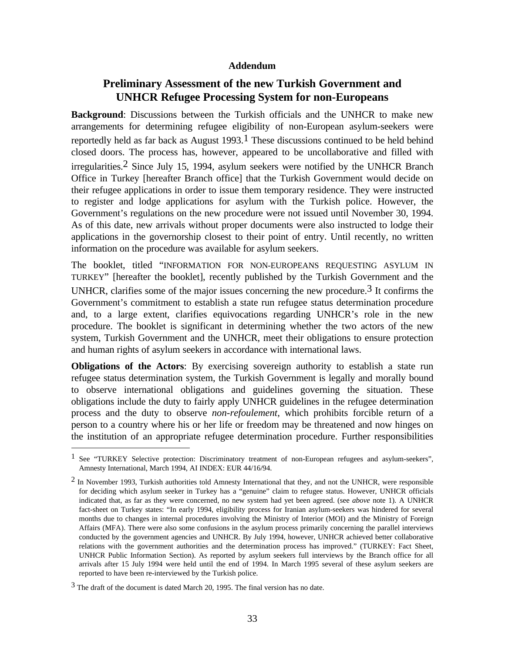#### **Addendum**

# **Preliminary Assessment of the new Turkish Government and UNHCR Refugee Processing System for non-Europeans**

**Background**: Discussions between the Turkish officials and the UNHCR to make new arrangements for determining refugee eligibility of non-European asylum-seekers were reportedly held as far back as August  $1993$ .<sup>1</sup> These discussions continued to be held behind closed doors. The process has, however, appeared to be uncollaborative and filled with irregularities.2 Since July 15, 1994, asylum seekers were notified by the UNHCR Branch Office in Turkey [hereafter Branch office] that the Turkish Government would decide on their refugee applications in order to issue them temporary residence. They were instructed to register and lodge applications for asylum with the Turkish police. However, the Government's regulations on the new procedure were not issued until November 30, 1994. As of this date, new arrivals without proper documents were also instructed to lodge their applications in the governorship closest to their point of entry. Until recently, no written information on the procedure was available for asylum seekers.

The booklet, titled "INFORMATION FOR NON-EUROPEANS REQUESTING ASYLUM IN TURKEY" [hereafter the booklet], recently published by the Turkish Government and the UNHCR, clarifies some of the major issues concerning the new procedure.<sup>3</sup> It confirms the Government's commitment to establish a state run refugee status determination procedure and, to a large extent, clarifies equivocations regarding UNHCR's role in the new procedure. The booklet is significant in determining whether the two actors of the new system, Turkish Government and the UNHCR, meet their obligations to ensure protection and human rights of asylum seekers in accordance with international laws.

**Obligations of the Actors**: By exercising sovereign authority to establish a state run refugee status determination system, the Turkish Government is legally and morally bound to observe international obligations and guidelines governing the situation. These obligations include the duty to fairly apply UNHCR guidelines in the refugee determination process and the duty to observe *non-refoulement*, which prohibits forcible return of a person to a country where his or her life or freedom may be threatened and now hinges on the institution of an appropriate refugee determination procedure. Further responsibilities

<sup>&</sup>lt;sup>1</sup> See "TURKEY Selective protection: Discriminatory treatment of non-European refugees and asylum-seekers", Amnesty International, March 1994, AI INDEX: EUR 44/16/94.

<sup>&</sup>lt;sup>2</sup> In November 1993, Turkish authorities told Amnesty International that they, and not the UNHCR, were responsible for deciding which asylum seeker in Turkey has a "genuine" claim to refugee status. However, UNHCR officials indicated that, as far as they were concerned, no new system had yet been agreed. (see *above* note 1). A UNHCR fact-sheet on Turkey states: "In early 1994, eligibility process for Iranian asylum-seekers was hindered for several months due to changes in internal procedures involving the Ministry of Interior (MOI) and the Ministry of Foreign Affairs (MFA). There were also some confusions in the asylum process primarily concerning the parallel interviews conducted by the government agencies and UNHCR. By July 1994, however, UNHCR achieved better collaborative relations with the government authorities and the determination process has improved." (TURKEY: Fact Sheet, UNHCR Public Information Section). As reported by asylum seekers full interviews by the Branch office for all arrivals after 15 July 1994 were held until the end of 1994. In March 1995 several of these asylum seekers are reported to have been re-interviewed by the Turkish police.

<sup>3</sup> The draft of the document is dated March 20, 1995. The final version has no date.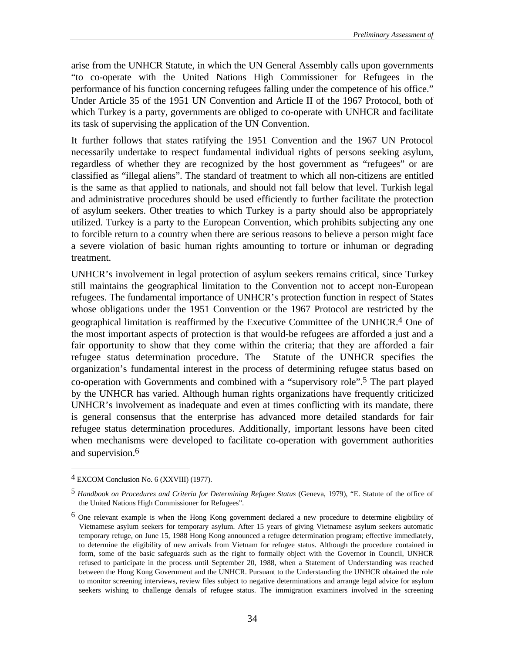arise from the UNHCR Statute, in which the UN General Assembly calls upon governments "to co-operate with the United Nations High Commissioner for Refugees in the performance of his function concerning refugees falling under the competence of his office." Under Article 35 of the 1951 UN Convention and Article II of the 1967 Protocol, both of which Turkey is a party, governments are obliged to co-operate with UNHCR and facilitate its task of supervising the application of the UN Convention.

It further follows that states ratifying the 1951 Convention and the 1967 UN Protocol necessarily undertake to respect fundamental individual rights of persons seeking asylum, regardless of whether they are recognized by the host government as "refugees" or are classified as "illegal aliens". The standard of treatment to which all non-citizens are entitled is the same as that applied to nationals, and should not fall below that level. Turkish legal and administrative procedures should be used efficiently to further facilitate the protection of asylum seekers. Other treaties to which Turkey is a party should also be appropriately utilized. Turkey is a party to the European Convention, which prohibits subjecting any one to forcible return to a country when there are serious reasons to believe a person might face a severe violation of basic human rights amounting to torture or inhuman or degrading treatment.

UNHCR's involvement in legal protection of asylum seekers remains critical, since Turkey still maintains the geographical limitation to the Convention not to accept non-European refugees. The fundamental importance of UNHCR's protection function in respect of States whose obligations under the 1951 Convention or the 1967 Protocol are restricted by the geographical limitation is reaffirmed by the Executive Committee of the UNHCR.4 One of the most important aspects of protection is that would-be refugees are afforded a just and a fair opportunity to show that they come within the criteria; that they are afforded a fair refugee status determination procedure. The Statute of the UNHCR specifies the organization's fundamental interest in the process of determining refugee status based on co-operation with Governments and combined with a "supervisory role".5 The part played by the UNHCR has varied. Although human rights organizations have frequently criticized UNHCR's involvement as inadequate and even at times conflicting with its mandate, there is general consensus that the enterprise has advanced more detailed standards for fair refugee status determination procedures. Additionally, important lessons have been cited when mechanisms were developed to facilitate co-operation with government authorities and supervision.6

<sup>4</sup> EXCOM Conclusion No. 6 (XXVIII) (1977).

<sup>5</sup> *Handbook on Procedures and Criteria for Determining Refugee Status* (Geneva, 1979), "E. Statute of the office of the United Nations High Commissioner for Refugees".

<sup>6</sup> One relevant example is when the Hong Kong government declared a new procedure to determine eligibility of Vietnamese asylum seekers for temporary asylum. After 15 years of giving Vietnamese asylum seekers automatic temporary refuge, on June 15, 1988 Hong Kong announced a refugee determination program; effective immediately, to determine the eligibility of new arrivals from Vietnam for refugee status. Although the procedure contained in form, some of the basic safeguards such as the right to formally object with the Governor in Council, UNHCR refused to participate in the process until September 20, 1988, when a Statement of Understanding was reached between the Hong Kong Government and the UNHCR. Pursuant to the Understanding the UNHCR obtained the role to monitor screening interviews, review files subject to negative determinations and arrange legal advice for asylum seekers wishing to challenge denials of refugee status. The immigration examiners involved in the screening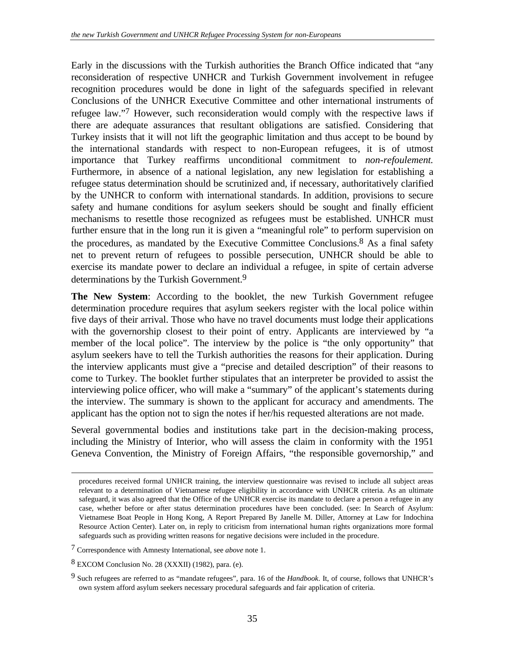Early in the discussions with the Turkish authorities the Branch Office indicated that "any reconsideration of respective UNHCR and Turkish Government involvement in refugee recognition procedures would be done in light of the safeguards specified in relevant Conclusions of the UNHCR Executive Committee and other international instruments of refugee law."7 However, such reconsideration would comply with the respective laws if there are adequate assurances that resultant obligations are satisfied. Considering that Turkey insists that it will not lift the geographic limitation and thus accept to be bound by the international standards with respect to non-European refugees, it is of utmost importance that Turkey reaffirms unconditional commitment to *non-refoulement.* Furthermore, in absence of a national legislation, any new legislation for establishing a refugee status determination should be scrutinized and, if necessary, authoritatively clarified by the UNHCR to conform with international standards. In addition, provisions to secure safety and humane conditions for asylum seekers should be sought and finally efficient mechanisms to resettle those recognized as refugees must be established. UNHCR must further ensure that in the long run it is given a "meaningful role" to perform supervision on the procedures, as mandated by the Executive Committee Conclusions.<sup>8</sup> As a final safety net to prevent return of refugees to possible persecution, UNHCR should be able to exercise its mandate power to declare an individual a refugee, in spite of certain adverse determinations by the Turkish Government.<sup>9</sup>

**The New System**: According to the booklet, the new Turkish Government refugee determination procedure requires that asylum seekers register with the local police within five days of their arrival. Those who have no travel documents must lodge their applications with the governorship closest to their point of entry. Applicants are interviewed by "a member of the local police". The interview by the police is "the only opportunity" that asylum seekers have to tell the Turkish authorities the reasons for their application. During the interview applicants must give a "precise and detailed description" of their reasons to come to Turkey. The booklet further stipulates that an interpreter be provided to assist the interviewing police officer, who will make a "summary" of the applicant's statements during the interview. The summary is shown to the applicant for accuracy and amendments. The applicant has the option not to sign the notes if her/his requested alterations are not made.

Several governmental bodies and institutions take part in the decision-making process, including the Ministry of Interior, who will assess the claim in conformity with the 1951 Geneva Convention, the Ministry of Foreign Affairs, "the responsible governorship," and

procedures received formal UNHCR training, the interview questionnaire was revised to include all subject areas relevant to a determination of Vietnamese refugee eligibility in accordance with UNHCR criteria. As an ultimate safeguard, it was also agreed that the Office of the UNHCR exercise its mandate to declare a person a refugee in any case, whether before or after status determination procedures have been concluded. (see: In Search of Asylum: Vietnamese Boat People in Hong Kong, A Report Prepared By Janelle M. Diller, Attorney at Law for Indochina Resource Action Center). Later on, in reply to criticism from international human rights organizations more formal safeguards such as providing written reasons for negative decisions were included in the procedure.

<sup>7</sup> Correspondence with Amnesty International, see *above* note 1.

<sup>8</sup> EXCOM Conclusion No. 28 (XXXII) (1982), para. (e).

<sup>9</sup> Such refugees are referred to as "mandate refugees", para. 16 of the *Handbook*. It, of course, follows that UNHCR's own system afford asylum seekers necessary procedural safeguards and fair application of criteria.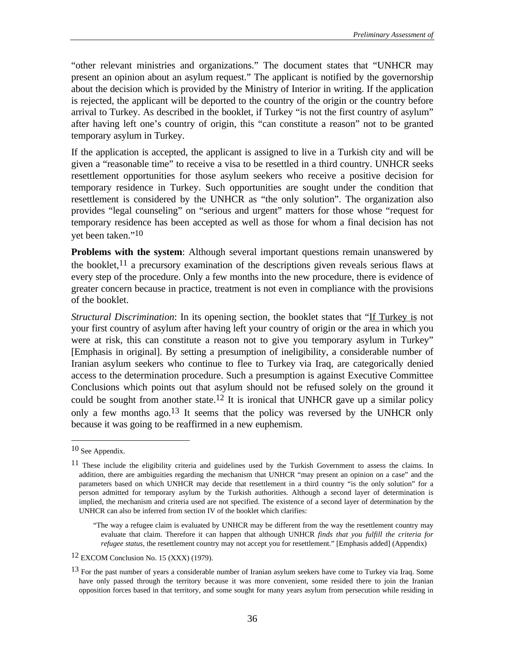"other relevant ministries and organizations." The document states that "UNHCR may present an opinion about an asylum request." The applicant is notified by the governorship about the decision which is provided by the Ministry of Interior in writing. If the application is rejected, the applicant will be deported to the country of the origin or the country before arrival to Turkey. As described in the booklet, if Turkey "is not the first country of asylum" after having left one's country of origin, this "can constitute a reason" not to be granted temporary asylum in Turkey.

If the application is accepted, the applicant is assigned to live in a Turkish city and will be given a "reasonable time" to receive a visa to be resettled in a third country. UNHCR seeks resettlement opportunities for those asylum seekers who receive a positive decision for temporary residence in Turkey. Such opportunities are sought under the condition that resettlement is considered by the UNHCR as "the only solution". The organization also provides "legal counseling" on "serious and urgent" matters for those whose "request for temporary residence has been accepted as well as those for whom a final decision has not yet been taken."10

**Problems with the system:** Although several important questions remain unanswered by the booklet,  $11$  a precursory examination of the descriptions given reveals serious flaws at every step of the procedure. Only a few months into the new procedure, there is evidence of greater concern because in practice, treatment is not even in compliance with the provisions of the booklet.

*Structural Discrimination*: In its opening section, the booklet states that "If Turkey is not your first country of asylum after having left your country of origin or the area in which you were at risk, this can constitute a reason not to give you temporary asylum in Turkey" [Emphasis in original]. By setting a presumption of ineligibility, a considerable number of Iranian asylum seekers who continue to flee to Turkey via Iraq, are categorically denied access to the determination procedure. Such a presumption is against Executive Committee Conclusions which points out that asylum should not be refused solely on the ground it could be sought from another state.<sup>12</sup> It is ironical that UNHCR gave up a similar policy only a few months ago.13 It seems that the policy was reversed by the UNHCR only because it was going to be reaffirmed in a new euphemism.

<sup>10</sup> See Appendix.

<sup>&</sup>lt;sup>11</sup> These include the eligibility criteria and guidelines used by the Turkish Government to assess the claims. In addition, there are ambiguities regarding the mechanism that UNHCR "may present an opinion on a case" and the parameters based on which UNHCR may decide that resettlement in a third country "is the only solution" for a person admitted for temporary asylum by the Turkish authorities. Although a second layer of determination is implied, the mechanism and criteria used are not specified. The existence of a second layer of determination by the UNHCR can also be inferred from section IV of the booklet which clarifies:

<sup>&</sup>quot;The way a refugee claim is evaluated by UNHCR may be different from the way the resettlement country may evaluate that claim. Therefore it can happen that although UNHCR *finds that you fulfill the criteria for refugee status*, the resettlement country may not accept you for resettlement." [Emphasis added] (Appendix)

<sup>12</sup> EXCOM Conclusion No. 15 (XXX) (1979).

<sup>&</sup>lt;sup>13</sup> For the past number of years a considerable number of Iranian asylum seekers have come to Turkey via Iraq. Some have only passed through the territory because it was more convenient, some resided there to join the Iranian opposition forces based in that territory, and some sought for many years asylum from persecution while residing in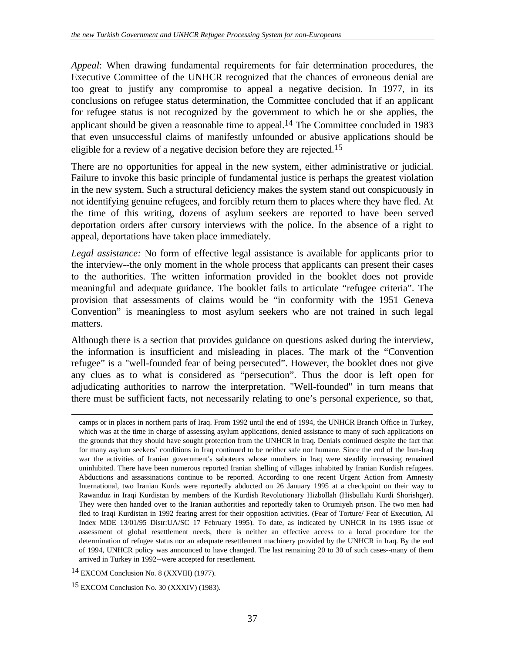*Appeal*: When drawing fundamental requirements for fair determination procedures, the Executive Committee of the UNHCR recognized that the chances of erroneous denial are too great to justify any compromise to appeal a negative decision. In 1977, in its conclusions on refugee status determination, the Committee concluded that if an applicant for refugee status is not recognized by the government to which he or she applies, the applicant should be given a reasonable time to appeal.<sup>14</sup> The Committee concluded in 1983 that even unsuccessful claims of manifestly unfounded or abusive applications should be eligible for a review of a negative decision before they are rejected.15

There are no opportunities for appeal in the new system, either administrative or judicial. Failure to invoke this basic principle of fundamental justice is perhaps the greatest violation in the new system. Such a structural deficiency makes the system stand out conspicuously in not identifying genuine refugees, and forcibly return them to places where they have fled. At the time of this writing, dozens of asylum seekers are reported to have been served deportation orders after cursory interviews with the police. In the absence of a right to appeal, deportations have taken place immediately.

*Legal assistance:* No form of effective legal assistance is available for applicants prior to the interview--the only moment in the whole process that applicants can present their cases to the authorities. The written information provided in the booklet does not provide meaningful and adequate guidance. The booklet fails to articulate "refugee criteria". The provision that assessments of claims would be "in conformity with the 1951 Geneva Convention" is meaningless to most asylum seekers who are not trained in such legal matters.

Although there is a section that provides guidance on questions asked during the interview, the information is insufficient and misleading in places. The mark of the "Convention refugee" is a "well-founded fear of being persecuted". However, the booklet does not give any clues as to what is considered as "persecution". Thus the door is left open for adjudicating authorities to narrow the interpretation. "Well-founded" in turn means that there must be sufficient facts, not necessarily relating to one's personal experience, so that,

camps or in places in northern parts of Iraq. From 1992 until the end of 1994, the UNHCR Branch Office in Turkey, which was at the time in charge of assessing asylum applications, denied assistance to many of such applications on the grounds that they should have sought protection from the UNHCR in Iraq. Denials continued despite the fact that for many asylum seekers' conditions in Iraq continued to be neither safe nor humane. Since the end of the Iran-Iraq war the activities of Iranian government's saboteurs whose numbers in Iraq were steadily increasing remained uninhibited. There have been numerous reported Iranian shelling of villages inhabited by Iranian Kurdish refugees. Abductions and assassinations continue to be reported. According to one recent Urgent Action from Amnesty International, two Iranian Kurds were reportedly abducted on 26 January 1995 at a checkpoint on their way to Rawanduz in Iraqi Kurdistan by members of the Kurdish Revolutionary Hizbollah (Hisbullahi Kurdi Shorishger). They were then handed over to the Iranian authorities and reportedly taken to Orumiyeh prison. The two men had fled to Iraqi Kurdistan in 1992 fearing arrest for their opposition activities. (Fear of Torture/ Fear of Execution, AI Index MDE 13/01/95 Distr:UA/SC 17 February 1995). To date, as indicated by UNHCR in its 1995 issue of assessment of global resettlement needs, there is neither an effective access to a local procedure for the determination of refugee status nor an adequate resettlement machinery provided by the UNHCR in Iraq. By the end of 1994, UNHCR policy was announced to have changed. The last remaining 20 to 30 of such cases--many of them arrived in Turkey in 1992--were accepted for resettlement.

<sup>14</sup> EXCOM Conclusion No. 8 (XXVIII) (1977).

<sup>15</sup> EXCOM Conclusion No. 30 (XXXIV) (1983).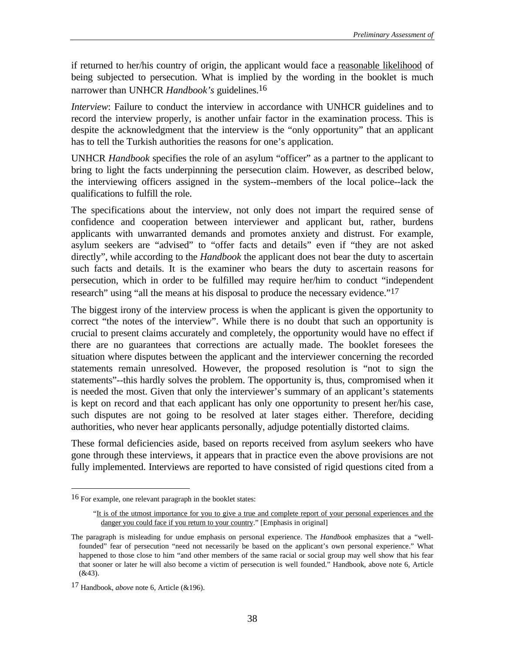if returned to her/his country of origin, the applicant would face a reasonable likelihood of being subjected to persecution. What is implied by the wording in the booklet is much narrower than UNHCR *Handbook's* guidelines.16

*Interview*: Failure to conduct the interview in accordance with UNHCR guidelines and to record the interview properly, is another unfair factor in the examination process. This is despite the acknowledgment that the interview is the "only opportunity" that an applicant has to tell the Turkish authorities the reasons for one's application.

UNHCR *Handbook* specifies the role of an asylum "officer" as a partner to the applicant to bring to light the facts underpinning the persecution claim. However, as described below, the interviewing officers assigned in the system--members of the local police--lack the qualifications to fulfill the role.

The specifications about the interview, not only does not impart the required sense of confidence and cooperation between interviewer and applicant but, rather, burdens applicants with unwarranted demands and promotes anxiety and distrust. For example, asylum seekers are "advised" to "offer facts and details" even if "they are not asked directly", while according to the *Handbook* the applicant does not bear the duty to ascertain such facts and details. It is the examiner who bears the duty to ascertain reasons for persecution, which in order to be fulfilled may require her/him to conduct "independent research" using "all the means at his disposal to produce the necessary evidence."<sup>17</sup>

The biggest irony of the interview process is when the applicant is given the opportunity to correct "the notes of the interview". While there is no doubt that such an opportunity is crucial to present claims accurately and completely, the opportunity would have no effect if there are no guarantees that corrections are actually made. The booklet foresees the situation where disputes between the applicant and the interviewer concerning the recorded statements remain unresolved. However, the proposed resolution is "not to sign the statements"--this hardly solves the problem. The opportunity is, thus, compromised when it is needed the most. Given that only the interviewer's summary of an applicant's statements is kept on record and that each applicant has only one opportunity to present her/his case, such disputes are not going to be resolved at later stages either. Therefore, deciding authorities, who never hear applicants personally, adjudge potentially distorted claims.

These formal deficiencies aside, based on reports received from asylum seekers who have gone through these interviews, it appears that in practice even the above provisions are not fully implemented. Interviews are reported to have consisted of rigid questions cited from a

<sup>16</sup> For example, one relevant paragraph in the booklet states:

<sup>&</sup>quot;It is of the utmost importance for you to give a true and complete report of your personal experiences and the danger you could face if you return to your country." [Emphasis in original]

The paragraph is misleading for undue emphasis on personal experience. The *Handbook* emphasizes that a "wellfounded" fear of persecution "need not necessarily be based on the applicant's own personal experience." What happened to those close to him "and other members of the same racial or social group may well show that his fear that sooner or later he will also become a victim of persecution is well founded." Handbook, above note 6, Article  $(&43).$ 

<sup>17</sup> Handbook, *above* note 6, Article (&196).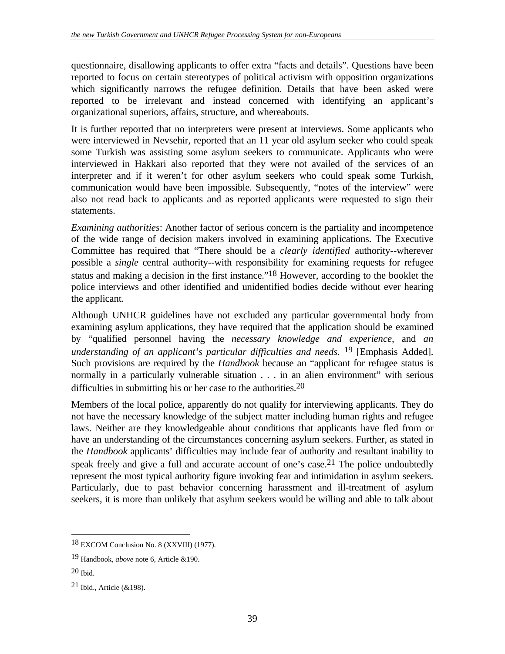questionnaire, disallowing applicants to offer extra "facts and details". Questions have been reported to focus on certain stereotypes of political activism with opposition organizations which significantly narrows the refugee definition. Details that have been asked were reported to be irrelevant and instead concerned with identifying an applicant's organizational superiors, affairs, structure, and whereabouts.

It is further reported that no interpreters were present at interviews. Some applicants who were interviewed in Nevsehir, reported that an 11 year old asylum seeker who could speak some Turkish was assisting some asylum seekers to communicate. Applicants who were interviewed in Hakkari also reported that they were not availed of the services of an interpreter and if it weren't for other asylum seekers who could speak some Turkish, communication would have been impossible. Subsequently, "notes of the interview" were also not read back to applicants and as reported applicants were requested to sign their statements.

*Examining authorities*: Another factor of serious concern is the partiality and incompetence of the wide range of decision makers involved in examining applications. The Executive Committee has required that "There should be a *clearly identified* authority--wherever possible a *single* central authority--with responsibility for examining requests for refugee status and making a decision in the first instance."18 However, according to the booklet the police interviews and other identified and unidentified bodies decide without ever hearing the applicant.

Although UNHCR guidelines have not excluded any particular governmental body from examining asylum applications, they have required that the application should be examined by "qualified personnel having the *necessary knowledge and experience*, and *an understanding of an applicant's particular difficulties and needs.* 19 [Emphasis Added]. Such provisions are required by the *Handbook* because an "applicant for refugee status is normally in a particularly vulnerable situation . . . in an alien environment" with serious difficulties in submitting his or her case to the authorities.<sup>20</sup>

Members of the local police, apparently do not qualify for interviewing applicants. They do not have the necessary knowledge of the subject matter including human rights and refugee laws. Neither are they knowledgeable about conditions that applicants have fled from or have an understanding of the circumstances concerning asylum seekers. Further, as stated in the *Handbook* applicants' difficulties may include fear of authority and resultant inability to speak freely and give a full and accurate account of one's case.<sup>21</sup> The police undoubtedly represent the most typical authority figure invoking fear and intimidation in asylum seekers. Particularly, due to past behavior concerning harassment and ill-treatment of asylum seekers, it is more than unlikely that asylum seekers would be willing and able to talk about

<sup>18</sup> EXCOM Conclusion No. 8 (XXVIII) (1977).

<sup>19</sup> Handbook, *above* note 6, Article &190.

<sup>20</sup> Ibid.

<sup>21</sup> Ibid., Article (&198).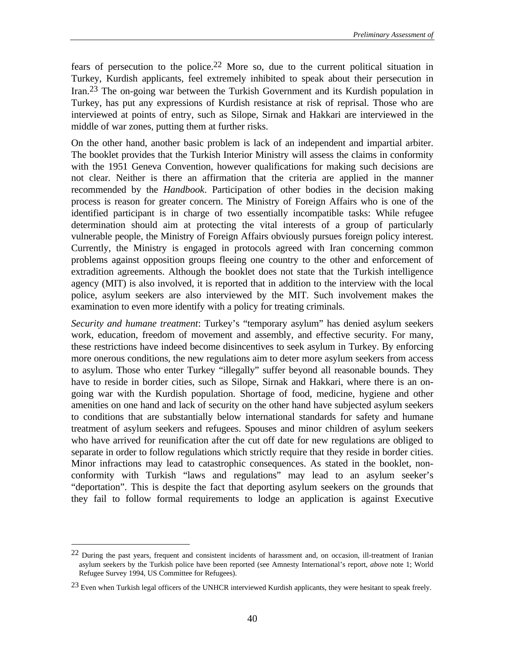fears of persecution to the police.22 More so, due to the current political situation in Turkey, Kurdish applicants, feel extremely inhibited to speak about their persecution in Iran.23 The on-going war between the Turkish Government and its Kurdish population in Turkey, has put any expressions of Kurdish resistance at risk of reprisal. Those who are interviewed at points of entry, such as Silope, Sirnak and Hakkari are interviewed in the middle of war zones, putting them at further risks.

On the other hand, another basic problem is lack of an independent and impartial arbiter. The booklet provides that the Turkish Interior Ministry will assess the claims in conformity with the 1951 Geneva Convention, however qualifications for making such decisions are not clear. Neither is there an affirmation that the criteria are applied in the manner recommended by the *Handbook*. Participation of other bodies in the decision making process is reason for greater concern. The Ministry of Foreign Affairs who is one of the identified participant is in charge of two essentially incompatible tasks: While refugee determination should aim at protecting the vital interests of a group of particularly vulnerable people, the Ministry of Foreign Affairs obviously pursues foreign policy interest. Currently, the Ministry is engaged in protocols agreed with Iran concerning common problems against opposition groups fleeing one country to the other and enforcement of extradition agreements. Although the booklet does not state that the Turkish intelligence agency (MIT) is also involved, it is reported that in addition to the interview with the local police, asylum seekers are also interviewed by the MIT. Such involvement makes the examination to even more identify with a policy for treating criminals.

*Security and humane treatment*: Turkey's "temporary asylum" has denied asylum seekers work, education, freedom of movement and assembly, and effective security. For many, these restrictions have indeed become disincentives to seek asylum in Turkey. By enforcing more onerous conditions, the new regulations aim to deter more asylum seekers from access to asylum. Those who enter Turkey "illegally" suffer beyond all reasonable bounds. They have to reside in border cities, such as Silope, Sirnak and Hakkari, where there is an ongoing war with the Kurdish population. Shortage of food, medicine, hygiene and other amenities on one hand and lack of security on the other hand have subjected asylum seekers to conditions that are substantially below international standards for safety and humane treatment of asylum seekers and refugees. Spouses and minor children of asylum seekers who have arrived for reunification after the cut off date for new regulations are obliged to separate in order to follow regulations which strictly require that they reside in border cities. Minor infractions may lead to catastrophic consequences. As stated in the booklet, nonconformity with Turkish "laws and regulations" may lead to an asylum seeker's "deportation". This is despite the fact that deporting asylum seekers on the grounds that they fail to follow formal requirements to lodge an application is against Executive

<sup>22</sup> During the past years, frequent and consistent incidents of harassment and, on occasion, ill-treatment of Iranian asylum seekers by the Turkish police have been reported (see Amnesty International's report, *above* note 1; World Refugee Survey 1994, US Committee for Refugees).

<sup>&</sup>lt;sup>23</sup> Even when Turkish legal officers of the UNHCR interviewed Kurdish applicants, they were hesitant to speak freely.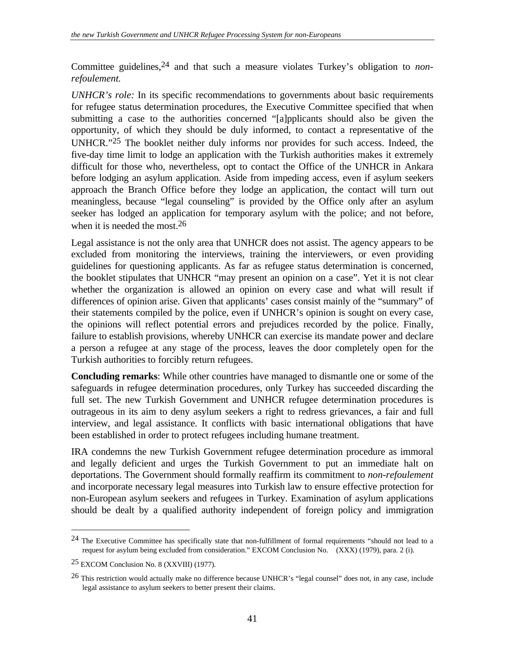Committee guidelines,24 and that such a measure violates Turkey's obligation to *nonrefoulement.*

*UNHCR's role:* In its specific recommendations to governments about basic requirements for refugee status determination procedures, the Executive Committee specified that when submitting a case to the authorities concerned "[a]pplicants should also be given the opportunity, of which they should be duly informed, to contact a representative of the UNHCR."25 The booklet neither duly informs nor provides for such access. Indeed, the five-day time limit to lodge an application with the Turkish authorities makes it extremely difficult for those who, nevertheless, opt to contact the Office of the UNHCR in Ankara before lodging an asylum application. Aside from impeding access, even if asylum seekers approach the Branch Office before they lodge an application, the contact will turn out meaningless, because "legal counseling" is provided by the Office only after an asylum seeker has lodged an application for temporary asylum with the police; and not before, when it is needed the most.<sup>26</sup>

Legal assistance is not the only area that UNHCR does not assist. The agency appears to be excluded from monitoring the interviews, training the interviewers, or even providing guidelines for questioning applicants. As far as refugee status determination is concerned, the booklet stipulates that UNHCR "may present an opinion on a case". Yet it is not clear whether the organization is allowed an opinion on every case and what will result if differences of opinion arise. Given that applicants' cases consist mainly of the "summary" of their statements compiled by the police, even if UNHCR's opinion is sought on every case, the opinions will reflect potential errors and prejudices recorded by the police. Finally, failure to establish provisions, whereby UNHCR can exercise its mandate power and declare a person a refugee at any stage of the process, leaves the door completely open for the Turkish authorities to forcibly return refugees.

**Concluding remarks**: While other countries have managed to dismantle one or some of the safeguards in refugee determination procedures, only Turkey has succeeded discarding the full set. The new Turkish Government and UNHCR refugee determination procedures is outrageous in its aim to deny asylum seekers a right to redress grievances, a fair and full interview, and legal assistance. It conflicts with basic international obligations that have been established in order to protect refugees including humane treatment.

IRA condemns the new Turkish Government refugee determination procedure as immoral and legally deficient and urges the Turkish Government to put an immediate halt on deportations. The Government should formally reaffirm its commitment to *non-refoulement* and incorporate necessary legal measures into Turkish law to ensure effective protection for non-European asylum seekers and refugees in Turkey. Examination of asylum applications should be dealt by a qualified authority independent of foreign policy and immigration

 $24$  The Executive Committee has specifically state that non-fulfillment of formal requirements "should not lead to a request for asylum being excluded from consideration." EXCOM Conclusion No. (XXX) (1979), para. 2 (i).

<sup>25</sup> EXCOM Conclusion No. 8 (XXVIII) (1977).

<sup>26</sup> This restriction would actually make no difference because UNHCR's "legal counsel" does not, in any case, include legal assistance to asylum seekers to better present their claims.